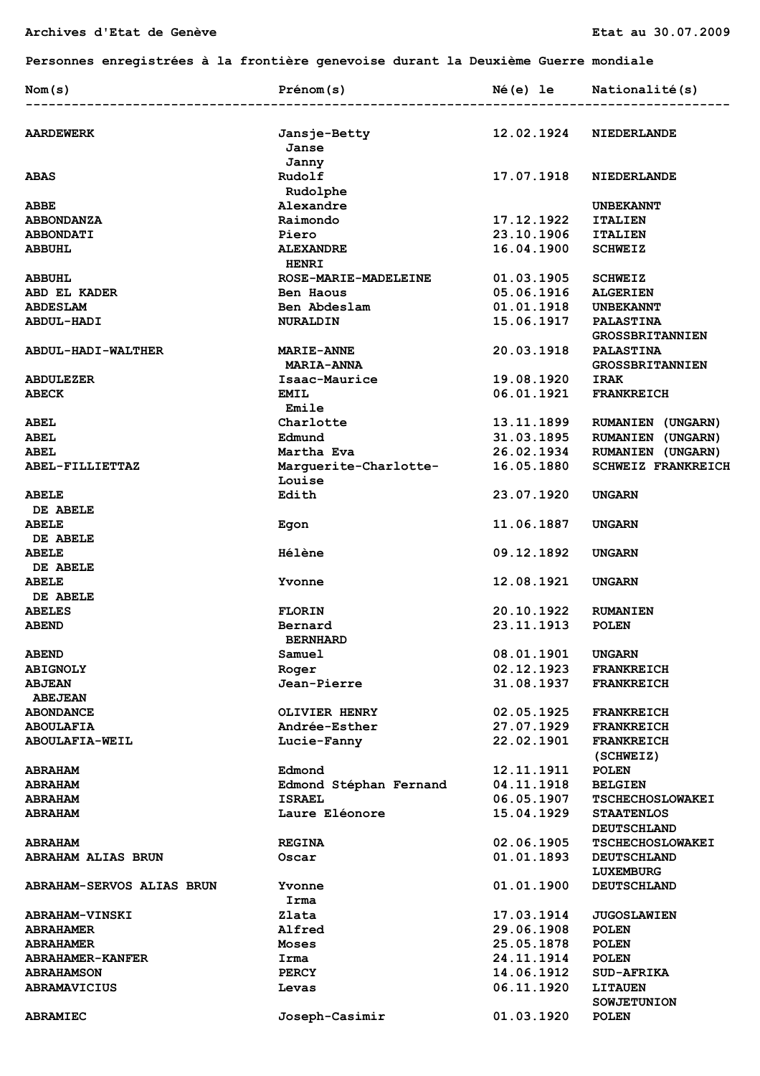**Personnes enregistrées à la frontière genevoise durant la Deuxième Guerre mondiale** 

| 12.02.1924<br><b>AARDEWERK</b><br>Jansje-Betty<br>NIEDERLANDE<br>Janse<br>Janny<br>Rudolf<br>17.07.1918<br><b>ABAS</b><br><b>NIEDERLANDE</b><br>Rudolphe<br>Alexandre<br>ABBE<br><b>UNBEKANNT</b><br>Raimondo<br>17.12.1922<br><b>ITALIEN</b><br><b>ABBONDANZA</b><br>23.10.1906<br><b>ABBONDATI</b><br>Piero<br><b>ITALIEN</b><br>16.04.1900<br><b>ALEXANDRE</b><br><b>SCHWEIZ</b><br><b>ABBUHL</b><br><b>HENRI</b><br>01.03.1905<br>ROSE-MARIE-MADELEINE<br><b>ABBUHL</b><br><b>SCHWEIZ</b><br>05.06.1916<br>Ben Haous<br><b>ALGERIEN</b><br>ABD EL KADER<br>01.01.1918<br><b>ABDESLAM</b><br>Ben Abdeslam<br><b>UNBEKANNT</b><br>15.06.1917<br><b>ABDUL-HADI</b><br><b>NURALDIN</b><br><b>PALASTINA</b><br><b>GROSSBRITANNIEN</b><br>20.03.1918<br><b>PALASTINA</b><br><b>ABDUL-HADI-WALTHER</b><br><b>MARIE-ANNE</b><br><b>MARIA-ANNA</b><br><b>GROSSBRITANNIEN</b><br>19.08.1920<br>Isaac-Maurice<br><b>IRAK</b><br><b>ABDULEZER</b><br>06.01.1921<br><b>ABECK</b><br><b>EMIL</b><br><b>FRANKREICH</b><br>Emile<br>Charlotte<br>13.11.1899<br><b>ABEL</b><br><b>RUMANIEN (UNGARN)</b><br>31.03.1895<br><b>ABEL</b><br>Edmund<br>RUMANIEN (UNGARN)<br>26.02.1934<br><b>ABEL</b><br>Martha Eva<br><b>RUMANIEN (UNGARN)</b><br>ABEL-FILLIETTAZ<br>Marguerite-Charlotte-<br>16.05.1880<br><b>SCHWEIZ FRANKREICH</b><br>Louise<br>Edith<br>23.07.1920<br><b>ABELE</b><br><b>UNGARN</b><br>DE ABELE<br>11.06.1887<br>Egon<br><b>UNGARN</b><br>DE ABELE<br><b>ABELE</b><br><b>Hélène</b><br>09.12.1892<br><b>UNGARN</b><br>DE ABELE<br><b>ABELE</b><br>12.08.1921<br><b>UNGARN</b><br>Yvonne<br>DE ABELE<br><b>ABELES</b><br><b>FLORIN</b><br>20.10.1922<br><b>RUMANIEN</b><br>23.11.1913<br><b>ABEND</b><br>Bernard<br><b>POLEN</b><br><b>BERNHARD</b><br>Samuel<br>08.01.1901<br><b>ABEND</b><br><b>UNGARN</b><br>02.12.1923<br><b>ABIGNOLY</b><br><b>FRANKREICH</b><br>Roger<br>31.08.1937<br>Jean-Pierre<br><b>ABJEAN</b><br><b>FRANKREICH</b><br><b>ABEJEAN</b><br>02.05.1925<br>OLIVIER HENRY<br><b>FRANKREICH</b><br><b>ABONDANCE</b><br>Andrée-Esther<br>27.07.1929<br><b>ABOULAFIA</b><br><b>FRANKREICH</b><br>22.02.1901<br><b>ABOULAFIA-WEIL</b><br>Lucie-Fanny<br><b>FRANKREICH</b><br>(SCHWEIZ)<br>Edmond<br>12.11.1911<br><b>POLEN</b><br><b>ABRAHAM</b><br>Edmond Stéphan Fernand<br>04.11.1918<br><b>ABRAHAM</b><br><b>BELGIEN</b><br>ISRAEL<br>06.05.1907<br><b>ABRAHAM</b><br><b>TSCHECHOSLOWAKEI</b><br>Laure Eléonore<br>15.04.1929<br><b>ABRAHAM</b><br><b>STAATENLOS</b><br><b>DEUTSCHLAND</b><br>02.06.1905<br><b>ABRAHAM</b><br><b>REGINA</b><br><b>TSCHECHOSLOWAKEI</b><br><b>ABRAHAM ALIAS BRUN</b><br>01.01.1893<br>Oscar<br><b>DEUTSCHLAND</b><br>LUXEMBURG<br>01.01.1900<br>ABRAHAM-SERVOS ALIAS BRUN<br>Yvonne<br><b>DEUTSCHLAND</b><br>Irma<br>Zlata<br>17.03.1914<br><b>JUGOSLAWIEN</b><br><b>ABRAHAM-VINSKI</b><br>Alfred<br>29.06.1908<br><b>POLEN</b><br><b>ABRAHAMER</b><br>25.05.1878<br><b>ABRAHAMER</b><br>Moses<br><b>POLEN</b><br>24.11.1914<br>Irma<br><b>POLEN</b><br><b>ABRAHAMER-KANFER</b><br><b>PERCY</b><br>14.06.1912<br><b>SUD-AFRIKA</b><br><b>ABRAHAMSON</b><br><b>ABRAMAVICIUS</b><br>Levas<br>06.11.1920<br><b>LITAUEN</b><br><b>SOWJETUNION</b><br>Joseph-Casimir<br>01.03.1920<br><b>ABRAMIEC</b><br><b>POLEN</b> | Nom(s)       | Prénom(s) | Né(e) le | Nationalité(s) |
|-------------------------------------------------------------------------------------------------------------------------------------------------------------------------------------------------------------------------------------------------------------------------------------------------------------------------------------------------------------------------------------------------------------------------------------------------------------------------------------------------------------------------------------------------------------------------------------------------------------------------------------------------------------------------------------------------------------------------------------------------------------------------------------------------------------------------------------------------------------------------------------------------------------------------------------------------------------------------------------------------------------------------------------------------------------------------------------------------------------------------------------------------------------------------------------------------------------------------------------------------------------------------------------------------------------------------------------------------------------------------------------------------------------------------------------------------------------------------------------------------------------------------------------------------------------------------------------------------------------------------------------------------------------------------------------------------------------------------------------------------------------------------------------------------------------------------------------------------------------------------------------------------------------------------------------------------------------------------------------------------------------------------------------------------------------------------------------------------------------------------------------------------------------------------------------------------------------------------------------------------------------------------------------------------------------------------------------------------------------------------------------------------------------------------------------------------------------------------------------------------------------------------------------------------------------------------------------------------------------------------------------------------------------------------------------------------------------------------------------------------------------------------------------------------------------------------------------------------------------------------------------------------------------------------------------------------------------------------------------------------------------------------------------------------------------------------------------------------------------------------------------------------------------------------------------------------------------------------------------------------------------------------|--------------|-----------|----------|----------------|
|                                                                                                                                                                                                                                                                                                                                                                                                                                                                                                                                                                                                                                                                                                                                                                                                                                                                                                                                                                                                                                                                                                                                                                                                                                                                                                                                                                                                                                                                                                                                                                                                                                                                                                                                                                                                                                                                                                                                                                                                                                                                                                                                                                                                                                                                                                                                                                                                                                                                                                                                                                                                                                                                                                                                                                                                                                                                                                                                                                                                                                                                                                                                                                                                                                                                         |              |           |          |                |
|                                                                                                                                                                                                                                                                                                                                                                                                                                                                                                                                                                                                                                                                                                                                                                                                                                                                                                                                                                                                                                                                                                                                                                                                                                                                                                                                                                                                                                                                                                                                                                                                                                                                                                                                                                                                                                                                                                                                                                                                                                                                                                                                                                                                                                                                                                                                                                                                                                                                                                                                                                                                                                                                                                                                                                                                                                                                                                                                                                                                                                                                                                                                                                                                                                                                         |              |           |          |                |
|                                                                                                                                                                                                                                                                                                                                                                                                                                                                                                                                                                                                                                                                                                                                                                                                                                                                                                                                                                                                                                                                                                                                                                                                                                                                                                                                                                                                                                                                                                                                                                                                                                                                                                                                                                                                                                                                                                                                                                                                                                                                                                                                                                                                                                                                                                                                                                                                                                                                                                                                                                                                                                                                                                                                                                                                                                                                                                                                                                                                                                                                                                                                                                                                                                                                         |              |           |          |                |
|                                                                                                                                                                                                                                                                                                                                                                                                                                                                                                                                                                                                                                                                                                                                                                                                                                                                                                                                                                                                                                                                                                                                                                                                                                                                                                                                                                                                                                                                                                                                                                                                                                                                                                                                                                                                                                                                                                                                                                                                                                                                                                                                                                                                                                                                                                                                                                                                                                                                                                                                                                                                                                                                                                                                                                                                                                                                                                                                                                                                                                                                                                                                                                                                                                                                         |              |           |          |                |
|                                                                                                                                                                                                                                                                                                                                                                                                                                                                                                                                                                                                                                                                                                                                                                                                                                                                                                                                                                                                                                                                                                                                                                                                                                                                                                                                                                                                                                                                                                                                                                                                                                                                                                                                                                                                                                                                                                                                                                                                                                                                                                                                                                                                                                                                                                                                                                                                                                                                                                                                                                                                                                                                                                                                                                                                                                                                                                                                                                                                                                                                                                                                                                                                                                                                         |              |           |          |                |
|                                                                                                                                                                                                                                                                                                                                                                                                                                                                                                                                                                                                                                                                                                                                                                                                                                                                                                                                                                                                                                                                                                                                                                                                                                                                                                                                                                                                                                                                                                                                                                                                                                                                                                                                                                                                                                                                                                                                                                                                                                                                                                                                                                                                                                                                                                                                                                                                                                                                                                                                                                                                                                                                                                                                                                                                                                                                                                                                                                                                                                                                                                                                                                                                                                                                         |              |           |          |                |
|                                                                                                                                                                                                                                                                                                                                                                                                                                                                                                                                                                                                                                                                                                                                                                                                                                                                                                                                                                                                                                                                                                                                                                                                                                                                                                                                                                                                                                                                                                                                                                                                                                                                                                                                                                                                                                                                                                                                                                                                                                                                                                                                                                                                                                                                                                                                                                                                                                                                                                                                                                                                                                                                                                                                                                                                                                                                                                                                                                                                                                                                                                                                                                                                                                                                         |              |           |          |                |
|                                                                                                                                                                                                                                                                                                                                                                                                                                                                                                                                                                                                                                                                                                                                                                                                                                                                                                                                                                                                                                                                                                                                                                                                                                                                                                                                                                                                                                                                                                                                                                                                                                                                                                                                                                                                                                                                                                                                                                                                                                                                                                                                                                                                                                                                                                                                                                                                                                                                                                                                                                                                                                                                                                                                                                                                                                                                                                                                                                                                                                                                                                                                                                                                                                                                         |              |           |          |                |
|                                                                                                                                                                                                                                                                                                                                                                                                                                                                                                                                                                                                                                                                                                                                                                                                                                                                                                                                                                                                                                                                                                                                                                                                                                                                                                                                                                                                                                                                                                                                                                                                                                                                                                                                                                                                                                                                                                                                                                                                                                                                                                                                                                                                                                                                                                                                                                                                                                                                                                                                                                                                                                                                                                                                                                                                                                                                                                                                                                                                                                                                                                                                                                                                                                                                         |              |           |          |                |
|                                                                                                                                                                                                                                                                                                                                                                                                                                                                                                                                                                                                                                                                                                                                                                                                                                                                                                                                                                                                                                                                                                                                                                                                                                                                                                                                                                                                                                                                                                                                                                                                                                                                                                                                                                                                                                                                                                                                                                                                                                                                                                                                                                                                                                                                                                                                                                                                                                                                                                                                                                                                                                                                                                                                                                                                                                                                                                                                                                                                                                                                                                                                                                                                                                                                         |              |           |          |                |
|                                                                                                                                                                                                                                                                                                                                                                                                                                                                                                                                                                                                                                                                                                                                                                                                                                                                                                                                                                                                                                                                                                                                                                                                                                                                                                                                                                                                                                                                                                                                                                                                                                                                                                                                                                                                                                                                                                                                                                                                                                                                                                                                                                                                                                                                                                                                                                                                                                                                                                                                                                                                                                                                                                                                                                                                                                                                                                                                                                                                                                                                                                                                                                                                                                                                         |              |           |          |                |
|                                                                                                                                                                                                                                                                                                                                                                                                                                                                                                                                                                                                                                                                                                                                                                                                                                                                                                                                                                                                                                                                                                                                                                                                                                                                                                                                                                                                                                                                                                                                                                                                                                                                                                                                                                                                                                                                                                                                                                                                                                                                                                                                                                                                                                                                                                                                                                                                                                                                                                                                                                                                                                                                                                                                                                                                                                                                                                                                                                                                                                                                                                                                                                                                                                                                         |              |           |          |                |
|                                                                                                                                                                                                                                                                                                                                                                                                                                                                                                                                                                                                                                                                                                                                                                                                                                                                                                                                                                                                                                                                                                                                                                                                                                                                                                                                                                                                                                                                                                                                                                                                                                                                                                                                                                                                                                                                                                                                                                                                                                                                                                                                                                                                                                                                                                                                                                                                                                                                                                                                                                                                                                                                                                                                                                                                                                                                                                                                                                                                                                                                                                                                                                                                                                                                         |              |           |          |                |
|                                                                                                                                                                                                                                                                                                                                                                                                                                                                                                                                                                                                                                                                                                                                                                                                                                                                                                                                                                                                                                                                                                                                                                                                                                                                                                                                                                                                                                                                                                                                                                                                                                                                                                                                                                                                                                                                                                                                                                                                                                                                                                                                                                                                                                                                                                                                                                                                                                                                                                                                                                                                                                                                                                                                                                                                                                                                                                                                                                                                                                                                                                                                                                                                                                                                         |              |           |          |                |
|                                                                                                                                                                                                                                                                                                                                                                                                                                                                                                                                                                                                                                                                                                                                                                                                                                                                                                                                                                                                                                                                                                                                                                                                                                                                                                                                                                                                                                                                                                                                                                                                                                                                                                                                                                                                                                                                                                                                                                                                                                                                                                                                                                                                                                                                                                                                                                                                                                                                                                                                                                                                                                                                                                                                                                                                                                                                                                                                                                                                                                                                                                                                                                                                                                                                         |              |           |          |                |
|                                                                                                                                                                                                                                                                                                                                                                                                                                                                                                                                                                                                                                                                                                                                                                                                                                                                                                                                                                                                                                                                                                                                                                                                                                                                                                                                                                                                                                                                                                                                                                                                                                                                                                                                                                                                                                                                                                                                                                                                                                                                                                                                                                                                                                                                                                                                                                                                                                                                                                                                                                                                                                                                                                                                                                                                                                                                                                                                                                                                                                                                                                                                                                                                                                                                         |              |           |          |                |
|                                                                                                                                                                                                                                                                                                                                                                                                                                                                                                                                                                                                                                                                                                                                                                                                                                                                                                                                                                                                                                                                                                                                                                                                                                                                                                                                                                                                                                                                                                                                                                                                                                                                                                                                                                                                                                                                                                                                                                                                                                                                                                                                                                                                                                                                                                                                                                                                                                                                                                                                                                                                                                                                                                                                                                                                                                                                                                                                                                                                                                                                                                                                                                                                                                                                         |              |           |          |                |
|                                                                                                                                                                                                                                                                                                                                                                                                                                                                                                                                                                                                                                                                                                                                                                                                                                                                                                                                                                                                                                                                                                                                                                                                                                                                                                                                                                                                                                                                                                                                                                                                                                                                                                                                                                                                                                                                                                                                                                                                                                                                                                                                                                                                                                                                                                                                                                                                                                                                                                                                                                                                                                                                                                                                                                                                                                                                                                                                                                                                                                                                                                                                                                                                                                                                         |              |           |          |                |
|                                                                                                                                                                                                                                                                                                                                                                                                                                                                                                                                                                                                                                                                                                                                                                                                                                                                                                                                                                                                                                                                                                                                                                                                                                                                                                                                                                                                                                                                                                                                                                                                                                                                                                                                                                                                                                                                                                                                                                                                                                                                                                                                                                                                                                                                                                                                                                                                                                                                                                                                                                                                                                                                                                                                                                                                                                                                                                                                                                                                                                                                                                                                                                                                                                                                         |              |           |          |                |
|                                                                                                                                                                                                                                                                                                                                                                                                                                                                                                                                                                                                                                                                                                                                                                                                                                                                                                                                                                                                                                                                                                                                                                                                                                                                                                                                                                                                                                                                                                                                                                                                                                                                                                                                                                                                                                                                                                                                                                                                                                                                                                                                                                                                                                                                                                                                                                                                                                                                                                                                                                                                                                                                                                                                                                                                                                                                                                                                                                                                                                                                                                                                                                                                                                                                         |              |           |          |                |
|                                                                                                                                                                                                                                                                                                                                                                                                                                                                                                                                                                                                                                                                                                                                                                                                                                                                                                                                                                                                                                                                                                                                                                                                                                                                                                                                                                                                                                                                                                                                                                                                                                                                                                                                                                                                                                                                                                                                                                                                                                                                                                                                                                                                                                                                                                                                                                                                                                                                                                                                                                                                                                                                                                                                                                                                                                                                                                                                                                                                                                                                                                                                                                                                                                                                         |              |           |          |                |
|                                                                                                                                                                                                                                                                                                                                                                                                                                                                                                                                                                                                                                                                                                                                                                                                                                                                                                                                                                                                                                                                                                                                                                                                                                                                                                                                                                                                                                                                                                                                                                                                                                                                                                                                                                                                                                                                                                                                                                                                                                                                                                                                                                                                                                                                                                                                                                                                                                                                                                                                                                                                                                                                                                                                                                                                                                                                                                                                                                                                                                                                                                                                                                                                                                                                         |              |           |          |                |
|                                                                                                                                                                                                                                                                                                                                                                                                                                                                                                                                                                                                                                                                                                                                                                                                                                                                                                                                                                                                                                                                                                                                                                                                                                                                                                                                                                                                                                                                                                                                                                                                                                                                                                                                                                                                                                                                                                                                                                                                                                                                                                                                                                                                                                                                                                                                                                                                                                                                                                                                                                                                                                                                                                                                                                                                                                                                                                                                                                                                                                                                                                                                                                                                                                                                         |              |           |          |                |
|                                                                                                                                                                                                                                                                                                                                                                                                                                                                                                                                                                                                                                                                                                                                                                                                                                                                                                                                                                                                                                                                                                                                                                                                                                                                                                                                                                                                                                                                                                                                                                                                                                                                                                                                                                                                                                                                                                                                                                                                                                                                                                                                                                                                                                                                                                                                                                                                                                                                                                                                                                                                                                                                                                                                                                                                                                                                                                                                                                                                                                                                                                                                                                                                                                                                         |              |           |          |                |
|                                                                                                                                                                                                                                                                                                                                                                                                                                                                                                                                                                                                                                                                                                                                                                                                                                                                                                                                                                                                                                                                                                                                                                                                                                                                                                                                                                                                                                                                                                                                                                                                                                                                                                                                                                                                                                                                                                                                                                                                                                                                                                                                                                                                                                                                                                                                                                                                                                                                                                                                                                                                                                                                                                                                                                                                                                                                                                                                                                                                                                                                                                                                                                                                                                                                         | <b>ABELE</b> |           |          |                |
|                                                                                                                                                                                                                                                                                                                                                                                                                                                                                                                                                                                                                                                                                                                                                                                                                                                                                                                                                                                                                                                                                                                                                                                                                                                                                                                                                                                                                                                                                                                                                                                                                                                                                                                                                                                                                                                                                                                                                                                                                                                                                                                                                                                                                                                                                                                                                                                                                                                                                                                                                                                                                                                                                                                                                                                                                                                                                                                                                                                                                                                                                                                                                                                                                                                                         |              |           |          |                |
|                                                                                                                                                                                                                                                                                                                                                                                                                                                                                                                                                                                                                                                                                                                                                                                                                                                                                                                                                                                                                                                                                                                                                                                                                                                                                                                                                                                                                                                                                                                                                                                                                                                                                                                                                                                                                                                                                                                                                                                                                                                                                                                                                                                                                                                                                                                                                                                                                                                                                                                                                                                                                                                                                                                                                                                                                                                                                                                                                                                                                                                                                                                                                                                                                                                                         |              |           |          |                |
|                                                                                                                                                                                                                                                                                                                                                                                                                                                                                                                                                                                                                                                                                                                                                                                                                                                                                                                                                                                                                                                                                                                                                                                                                                                                                                                                                                                                                                                                                                                                                                                                                                                                                                                                                                                                                                                                                                                                                                                                                                                                                                                                                                                                                                                                                                                                                                                                                                                                                                                                                                                                                                                                                                                                                                                                                                                                                                                                                                                                                                                                                                                                                                                                                                                                         |              |           |          |                |
|                                                                                                                                                                                                                                                                                                                                                                                                                                                                                                                                                                                                                                                                                                                                                                                                                                                                                                                                                                                                                                                                                                                                                                                                                                                                                                                                                                                                                                                                                                                                                                                                                                                                                                                                                                                                                                                                                                                                                                                                                                                                                                                                                                                                                                                                                                                                                                                                                                                                                                                                                                                                                                                                                                                                                                                                                                                                                                                                                                                                                                                                                                                                                                                                                                                                         |              |           |          |                |
|                                                                                                                                                                                                                                                                                                                                                                                                                                                                                                                                                                                                                                                                                                                                                                                                                                                                                                                                                                                                                                                                                                                                                                                                                                                                                                                                                                                                                                                                                                                                                                                                                                                                                                                                                                                                                                                                                                                                                                                                                                                                                                                                                                                                                                                                                                                                                                                                                                                                                                                                                                                                                                                                                                                                                                                                                                                                                                                                                                                                                                                                                                                                                                                                                                                                         |              |           |          |                |
|                                                                                                                                                                                                                                                                                                                                                                                                                                                                                                                                                                                                                                                                                                                                                                                                                                                                                                                                                                                                                                                                                                                                                                                                                                                                                                                                                                                                                                                                                                                                                                                                                                                                                                                                                                                                                                                                                                                                                                                                                                                                                                                                                                                                                                                                                                                                                                                                                                                                                                                                                                                                                                                                                                                                                                                                                                                                                                                                                                                                                                                                                                                                                                                                                                                                         |              |           |          |                |
|                                                                                                                                                                                                                                                                                                                                                                                                                                                                                                                                                                                                                                                                                                                                                                                                                                                                                                                                                                                                                                                                                                                                                                                                                                                                                                                                                                                                                                                                                                                                                                                                                                                                                                                                                                                                                                                                                                                                                                                                                                                                                                                                                                                                                                                                                                                                                                                                                                                                                                                                                                                                                                                                                                                                                                                                                                                                                                                                                                                                                                                                                                                                                                                                                                                                         |              |           |          |                |
|                                                                                                                                                                                                                                                                                                                                                                                                                                                                                                                                                                                                                                                                                                                                                                                                                                                                                                                                                                                                                                                                                                                                                                                                                                                                                                                                                                                                                                                                                                                                                                                                                                                                                                                                                                                                                                                                                                                                                                                                                                                                                                                                                                                                                                                                                                                                                                                                                                                                                                                                                                                                                                                                                                                                                                                                                                                                                                                                                                                                                                                                                                                                                                                                                                                                         |              |           |          |                |
|                                                                                                                                                                                                                                                                                                                                                                                                                                                                                                                                                                                                                                                                                                                                                                                                                                                                                                                                                                                                                                                                                                                                                                                                                                                                                                                                                                                                                                                                                                                                                                                                                                                                                                                                                                                                                                                                                                                                                                                                                                                                                                                                                                                                                                                                                                                                                                                                                                                                                                                                                                                                                                                                                                                                                                                                                                                                                                                                                                                                                                                                                                                                                                                                                                                                         |              |           |          |                |
|                                                                                                                                                                                                                                                                                                                                                                                                                                                                                                                                                                                                                                                                                                                                                                                                                                                                                                                                                                                                                                                                                                                                                                                                                                                                                                                                                                                                                                                                                                                                                                                                                                                                                                                                                                                                                                                                                                                                                                                                                                                                                                                                                                                                                                                                                                                                                                                                                                                                                                                                                                                                                                                                                                                                                                                                                                                                                                                                                                                                                                                                                                                                                                                                                                                                         |              |           |          |                |
|                                                                                                                                                                                                                                                                                                                                                                                                                                                                                                                                                                                                                                                                                                                                                                                                                                                                                                                                                                                                                                                                                                                                                                                                                                                                                                                                                                                                                                                                                                                                                                                                                                                                                                                                                                                                                                                                                                                                                                                                                                                                                                                                                                                                                                                                                                                                                                                                                                                                                                                                                                                                                                                                                                                                                                                                                                                                                                                                                                                                                                                                                                                                                                                                                                                                         |              |           |          |                |
|                                                                                                                                                                                                                                                                                                                                                                                                                                                                                                                                                                                                                                                                                                                                                                                                                                                                                                                                                                                                                                                                                                                                                                                                                                                                                                                                                                                                                                                                                                                                                                                                                                                                                                                                                                                                                                                                                                                                                                                                                                                                                                                                                                                                                                                                                                                                                                                                                                                                                                                                                                                                                                                                                                                                                                                                                                                                                                                                                                                                                                                                                                                                                                                                                                                                         |              |           |          |                |
|                                                                                                                                                                                                                                                                                                                                                                                                                                                                                                                                                                                                                                                                                                                                                                                                                                                                                                                                                                                                                                                                                                                                                                                                                                                                                                                                                                                                                                                                                                                                                                                                                                                                                                                                                                                                                                                                                                                                                                                                                                                                                                                                                                                                                                                                                                                                                                                                                                                                                                                                                                                                                                                                                                                                                                                                                                                                                                                                                                                                                                                                                                                                                                                                                                                                         |              |           |          |                |
|                                                                                                                                                                                                                                                                                                                                                                                                                                                                                                                                                                                                                                                                                                                                                                                                                                                                                                                                                                                                                                                                                                                                                                                                                                                                                                                                                                                                                                                                                                                                                                                                                                                                                                                                                                                                                                                                                                                                                                                                                                                                                                                                                                                                                                                                                                                                                                                                                                                                                                                                                                                                                                                                                                                                                                                                                                                                                                                                                                                                                                                                                                                                                                                                                                                                         |              |           |          |                |
|                                                                                                                                                                                                                                                                                                                                                                                                                                                                                                                                                                                                                                                                                                                                                                                                                                                                                                                                                                                                                                                                                                                                                                                                                                                                                                                                                                                                                                                                                                                                                                                                                                                                                                                                                                                                                                                                                                                                                                                                                                                                                                                                                                                                                                                                                                                                                                                                                                                                                                                                                                                                                                                                                                                                                                                                                                                                                                                                                                                                                                                                                                                                                                                                                                                                         |              |           |          |                |
|                                                                                                                                                                                                                                                                                                                                                                                                                                                                                                                                                                                                                                                                                                                                                                                                                                                                                                                                                                                                                                                                                                                                                                                                                                                                                                                                                                                                                                                                                                                                                                                                                                                                                                                                                                                                                                                                                                                                                                                                                                                                                                                                                                                                                                                                                                                                                                                                                                                                                                                                                                                                                                                                                                                                                                                                                                                                                                                                                                                                                                                                                                                                                                                                                                                                         |              |           |          |                |
|                                                                                                                                                                                                                                                                                                                                                                                                                                                                                                                                                                                                                                                                                                                                                                                                                                                                                                                                                                                                                                                                                                                                                                                                                                                                                                                                                                                                                                                                                                                                                                                                                                                                                                                                                                                                                                                                                                                                                                                                                                                                                                                                                                                                                                                                                                                                                                                                                                                                                                                                                                                                                                                                                                                                                                                                                                                                                                                                                                                                                                                                                                                                                                                                                                                                         |              |           |          |                |
|                                                                                                                                                                                                                                                                                                                                                                                                                                                                                                                                                                                                                                                                                                                                                                                                                                                                                                                                                                                                                                                                                                                                                                                                                                                                                                                                                                                                                                                                                                                                                                                                                                                                                                                                                                                                                                                                                                                                                                                                                                                                                                                                                                                                                                                                                                                                                                                                                                                                                                                                                                                                                                                                                                                                                                                                                                                                                                                                                                                                                                                                                                                                                                                                                                                                         |              |           |          |                |
|                                                                                                                                                                                                                                                                                                                                                                                                                                                                                                                                                                                                                                                                                                                                                                                                                                                                                                                                                                                                                                                                                                                                                                                                                                                                                                                                                                                                                                                                                                                                                                                                                                                                                                                                                                                                                                                                                                                                                                                                                                                                                                                                                                                                                                                                                                                                                                                                                                                                                                                                                                                                                                                                                                                                                                                                                                                                                                                                                                                                                                                                                                                                                                                                                                                                         |              |           |          |                |
|                                                                                                                                                                                                                                                                                                                                                                                                                                                                                                                                                                                                                                                                                                                                                                                                                                                                                                                                                                                                                                                                                                                                                                                                                                                                                                                                                                                                                                                                                                                                                                                                                                                                                                                                                                                                                                                                                                                                                                                                                                                                                                                                                                                                                                                                                                                                                                                                                                                                                                                                                                                                                                                                                                                                                                                                                                                                                                                                                                                                                                                                                                                                                                                                                                                                         |              |           |          |                |
|                                                                                                                                                                                                                                                                                                                                                                                                                                                                                                                                                                                                                                                                                                                                                                                                                                                                                                                                                                                                                                                                                                                                                                                                                                                                                                                                                                                                                                                                                                                                                                                                                                                                                                                                                                                                                                                                                                                                                                                                                                                                                                                                                                                                                                                                                                                                                                                                                                                                                                                                                                                                                                                                                                                                                                                                                                                                                                                                                                                                                                                                                                                                                                                                                                                                         |              |           |          |                |
|                                                                                                                                                                                                                                                                                                                                                                                                                                                                                                                                                                                                                                                                                                                                                                                                                                                                                                                                                                                                                                                                                                                                                                                                                                                                                                                                                                                                                                                                                                                                                                                                                                                                                                                                                                                                                                                                                                                                                                                                                                                                                                                                                                                                                                                                                                                                                                                                                                                                                                                                                                                                                                                                                                                                                                                                                                                                                                                                                                                                                                                                                                                                                                                                                                                                         |              |           |          |                |
|                                                                                                                                                                                                                                                                                                                                                                                                                                                                                                                                                                                                                                                                                                                                                                                                                                                                                                                                                                                                                                                                                                                                                                                                                                                                                                                                                                                                                                                                                                                                                                                                                                                                                                                                                                                                                                                                                                                                                                                                                                                                                                                                                                                                                                                                                                                                                                                                                                                                                                                                                                                                                                                                                                                                                                                                                                                                                                                                                                                                                                                                                                                                                                                                                                                                         |              |           |          |                |
|                                                                                                                                                                                                                                                                                                                                                                                                                                                                                                                                                                                                                                                                                                                                                                                                                                                                                                                                                                                                                                                                                                                                                                                                                                                                                                                                                                                                                                                                                                                                                                                                                                                                                                                                                                                                                                                                                                                                                                                                                                                                                                                                                                                                                                                                                                                                                                                                                                                                                                                                                                                                                                                                                                                                                                                                                                                                                                                                                                                                                                                                                                                                                                                                                                                                         |              |           |          |                |
|                                                                                                                                                                                                                                                                                                                                                                                                                                                                                                                                                                                                                                                                                                                                                                                                                                                                                                                                                                                                                                                                                                                                                                                                                                                                                                                                                                                                                                                                                                                                                                                                                                                                                                                                                                                                                                                                                                                                                                                                                                                                                                                                                                                                                                                                                                                                                                                                                                                                                                                                                                                                                                                                                                                                                                                                                                                                                                                                                                                                                                                                                                                                                                                                                                                                         |              |           |          |                |
|                                                                                                                                                                                                                                                                                                                                                                                                                                                                                                                                                                                                                                                                                                                                                                                                                                                                                                                                                                                                                                                                                                                                                                                                                                                                                                                                                                                                                                                                                                                                                                                                                                                                                                                                                                                                                                                                                                                                                                                                                                                                                                                                                                                                                                                                                                                                                                                                                                                                                                                                                                                                                                                                                                                                                                                                                                                                                                                                                                                                                                                                                                                                                                                                                                                                         |              |           |          |                |
|                                                                                                                                                                                                                                                                                                                                                                                                                                                                                                                                                                                                                                                                                                                                                                                                                                                                                                                                                                                                                                                                                                                                                                                                                                                                                                                                                                                                                                                                                                                                                                                                                                                                                                                                                                                                                                                                                                                                                                                                                                                                                                                                                                                                                                                                                                                                                                                                                                                                                                                                                                                                                                                                                                                                                                                                                                                                                                                                                                                                                                                                                                                                                                                                                                                                         |              |           |          |                |
|                                                                                                                                                                                                                                                                                                                                                                                                                                                                                                                                                                                                                                                                                                                                                                                                                                                                                                                                                                                                                                                                                                                                                                                                                                                                                                                                                                                                                                                                                                                                                                                                                                                                                                                                                                                                                                                                                                                                                                                                                                                                                                                                                                                                                                                                                                                                                                                                                                                                                                                                                                                                                                                                                                                                                                                                                                                                                                                                                                                                                                                                                                                                                                                                                                                                         |              |           |          |                |
|                                                                                                                                                                                                                                                                                                                                                                                                                                                                                                                                                                                                                                                                                                                                                                                                                                                                                                                                                                                                                                                                                                                                                                                                                                                                                                                                                                                                                                                                                                                                                                                                                                                                                                                                                                                                                                                                                                                                                                                                                                                                                                                                                                                                                                                                                                                                                                                                                                                                                                                                                                                                                                                                                                                                                                                                                                                                                                                                                                                                                                                                                                                                                                                                                                                                         |              |           |          |                |
|                                                                                                                                                                                                                                                                                                                                                                                                                                                                                                                                                                                                                                                                                                                                                                                                                                                                                                                                                                                                                                                                                                                                                                                                                                                                                                                                                                                                                                                                                                                                                                                                                                                                                                                                                                                                                                                                                                                                                                                                                                                                                                                                                                                                                                                                                                                                                                                                                                                                                                                                                                                                                                                                                                                                                                                                                                                                                                                                                                                                                                                                                                                                                                                                                                                                         |              |           |          |                |
|                                                                                                                                                                                                                                                                                                                                                                                                                                                                                                                                                                                                                                                                                                                                                                                                                                                                                                                                                                                                                                                                                                                                                                                                                                                                                                                                                                                                                                                                                                                                                                                                                                                                                                                                                                                                                                                                                                                                                                                                                                                                                                                                                                                                                                                                                                                                                                                                                                                                                                                                                                                                                                                                                                                                                                                                                                                                                                                                                                                                                                                                                                                                                                                                                                                                         |              |           |          |                |
|                                                                                                                                                                                                                                                                                                                                                                                                                                                                                                                                                                                                                                                                                                                                                                                                                                                                                                                                                                                                                                                                                                                                                                                                                                                                                                                                                                                                                                                                                                                                                                                                                                                                                                                                                                                                                                                                                                                                                                                                                                                                                                                                                                                                                                                                                                                                                                                                                                                                                                                                                                                                                                                                                                                                                                                                                                                                                                                                                                                                                                                                                                                                                                                                                                                                         |              |           |          |                |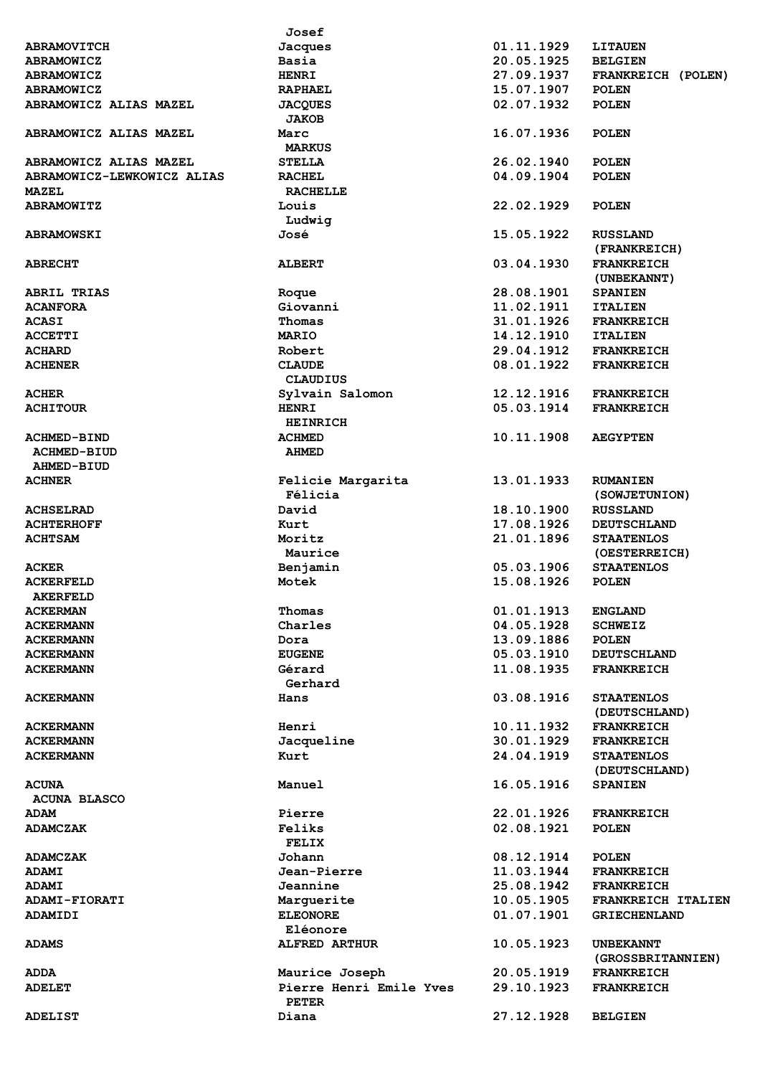|                            | Josef                                   |            |                                    |
|----------------------------|-----------------------------------------|------------|------------------------------------|
| <b>ABRAMOVITCH</b>         | Jacques                                 | 01.11.1929 | <b>LITAUEN</b>                     |
| <b>ABRAMOWICZ</b>          | Basia                                   | 20.05.1925 | <b>BELGIEN</b>                     |
| <b>ABRAMOWICZ</b>          | <b>HENRI</b>                            | 27.09.1937 | FRANKREICH (POLEN)                 |
| <b>ABRAMOWICZ</b>          | <b>RAPHAEL</b>                          | 15.07.1907 | <b>POLEN</b>                       |
| ABRAMOWICZ ALIAS MAZEL     | <b>JACQUES</b>                          | 02.07.1932 | <b>POLEN</b>                       |
| ABRAMOWICZ ALIAS MAZEL     | <b>JAKOB</b><br>Marc                    | 16.07.1936 | <b>POLEN</b>                       |
|                            | <b>MARKUS</b>                           |            |                                    |
| ABRAMOWICZ ALIAS MAZEL     | <b>STELLA</b>                           | 26.02.1940 | <b>POLEN</b>                       |
| ABRAMOWICZ-LEWKOWICZ ALIAS | <b>RACHEL</b>                           | 04.09.1904 | <b>POLEN</b>                       |
| <b>MAZEL</b>               | <b>RACHELLE</b>                         |            |                                    |
| <b>ABRAMOWITZ</b>          | Louis<br>Ludwig                         | 22.02.1929 | <b>POLEN</b>                       |
| <b>ABRAMOWSKI</b>          | José                                    | 15.05.1922 | <b>RUSSLAND</b>                    |
|                            |                                         |            | (FRANKREICH)                       |
| <b>ABRECHT</b>             | <b>ALBERT</b>                           | 03.04.1930 | <b>FRANKREICH</b><br>(UNBEKANNT)   |
| <b>ABRIL TRIAS</b>         | Roque                                   | 28.08.1901 | <b>SPANIEN</b>                     |
| <b>ACANFORA</b>            | Giovanni                                | 11.02.1911 | <b>ITALIEN</b>                     |
| <b>ACASI</b>               | Thomas                                  | 31.01.1926 | <b>FRANKREICH</b>                  |
| <b>ACCETTI</b>             | <b>MARIO</b>                            | 14.12.1910 | <b>ITALIEN</b>                     |
|                            | Robert                                  | 29.04.1912 |                                    |
| <b>ACHARD</b>              |                                         |            | <b>FRANKREICH</b>                  |
| <b>ACHENER</b>             | <b>CLAUDE</b><br><b>CLAUDIUS</b>        | 08.01.1922 | <b>FRANKREICH</b>                  |
| <b>ACHER</b>               | Sylvain Salomon                         | 12.12.1916 | <b>FRANKREICH</b>                  |
| <b>ACHITOUR</b>            | <b>HENRI</b><br><b>HEINRICH</b>         | 05.03.1914 | <b>FRANKREICH</b>                  |
| <b>ACHMED-BIND</b>         | <b>ACHMED</b>                           | 10.11.1908 | <b>AEGYPTEN</b>                    |
|                            |                                         |            |                                    |
| <b>ACHMED-BIUD</b>         | <b>AHMED</b>                            |            |                                    |
| AHMED-BIUD                 |                                         |            |                                    |
| <b>ACHNER</b>              | Felicie Margarita<br>Félicia            | 13.01.1933 | <b>RUMANIEN</b><br>(SOWJETUNION)   |
| <b>ACHSELRAD</b>           | David                                   | 18.10.1900 | <b>RUSSLAND</b>                    |
| <b>ACHTERHOFF</b>          | Kurt                                    | 17.08.1926 | <b>DEUTSCHLAND</b>                 |
| <b>ACHTSAM</b>             | Moritz                                  | 21.01.1896 | <b>STAATENLOS</b>                  |
|                            | Maurice                                 |            | (OESTERREICH)                      |
| <b>ACKER</b>               | Benjamin                                | 05.03.1906 | <b>STAATENLOS</b>                  |
| <b>ACKERFELD</b>           | Motek                                   | 15.08.1926 | <b>POLEN</b>                       |
| <b>AKERFELD</b>            |                                         |            |                                    |
|                            |                                         |            |                                    |
| <b>ACKERMAN</b>            | Thomas                                  | 01.01.1913 | <b>ENGLAND</b>                     |
| <b>ACKERMANN</b>           | Charles                                 | 04.05.1928 | <b>SCHWEIZ</b>                     |
| <b>ACKERMANN</b>           | Dora                                    | 13.09.1886 | <b>POLEN</b>                       |
| <b>ACKERMANN</b>           | <b>EUGENE</b>                           | 05.03.1910 | <b>DEUTSCHLAND</b>                 |
| <b>ACKERMANN</b>           | Gérard<br>Gerhard                       | 11.08.1935 | <b>FRANKREICH</b>                  |
| <b>ACKERMANN</b>           | Hans                                    | 03.08.1916 | <b>STAATENLOS</b>                  |
|                            |                                         |            | (DEUTSCHLAND)                      |
| <b>ACKERMANN</b>           | Henri                                   | 10.11.1932 | <b>FRANKREICH</b>                  |
| <b>ACKERMANN</b>           | Jacqueline                              | 30.01.1929 | <b>FRANKREICH</b>                  |
| <b>ACKERMANN</b>           | Kurt                                    | 24.04.1919 | <b>STAATENLOS</b><br>(DEUTSCHLAND) |
| <b>ACUNA</b>               | Manuel                                  | 16.05.1916 | <b>SPANIEN</b>                     |
| <b>ACUNA BLASCO</b>        |                                         |            |                                    |
| <b>ADAM</b>                | Pierre                                  | 22.01.1926 | <b>FRANKREICH</b>                  |
| <b>ADAMCZAK</b>            | Feliks                                  | 02.08.1921 | <b>POLEN</b>                       |
|                            | FELIX                                   |            |                                    |
| <b>ADAMCZAK</b>            | Johann                                  | 08.12.1914 | <b>POLEN</b>                       |
| <b>ADAMI</b>               | Jean-Pierre                             | 11.03.1944 | <b>FRANKREICH</b>                  |
| <b>ADAMI</b>               | Jeannine                                | 25.08.1942 | <b>FRANKREICH</b>                  |
| ADAMI-FIORATI              | Marquerite                              | 10.05.1905 | FRANKREICH ITALIEN                 |
| <b>ADAMIDI</b>             | <b>ELEONORE</b>                         | 01.07.1901 | <b>GRIECHENLAND</b>                |
|                            | Eléonore                                |            |                                    |
| <b>ADAMS</b>               | <b>ALFRED ARTHUR</b>                    | 10.05.1923 | <b>UNBEKANNT</b>                   |
|                            |                                         |            | (GROSSBRITANNIEN)                  |
| <b>ADDA</b>                | Maurice Joseph                          | 20.05.1919 | <b>FRANKREICH</b>                  |
| <b>ADELET</b>              | Pierre Henri Emile Yves<br><b>PETER</b> | 29.10.1923 | <b>FRANKREICH</b>                  |
| <b>ADELIST</b>             | Diana                                   | 27.12.1928 | <b>BELGIEN</b>                     |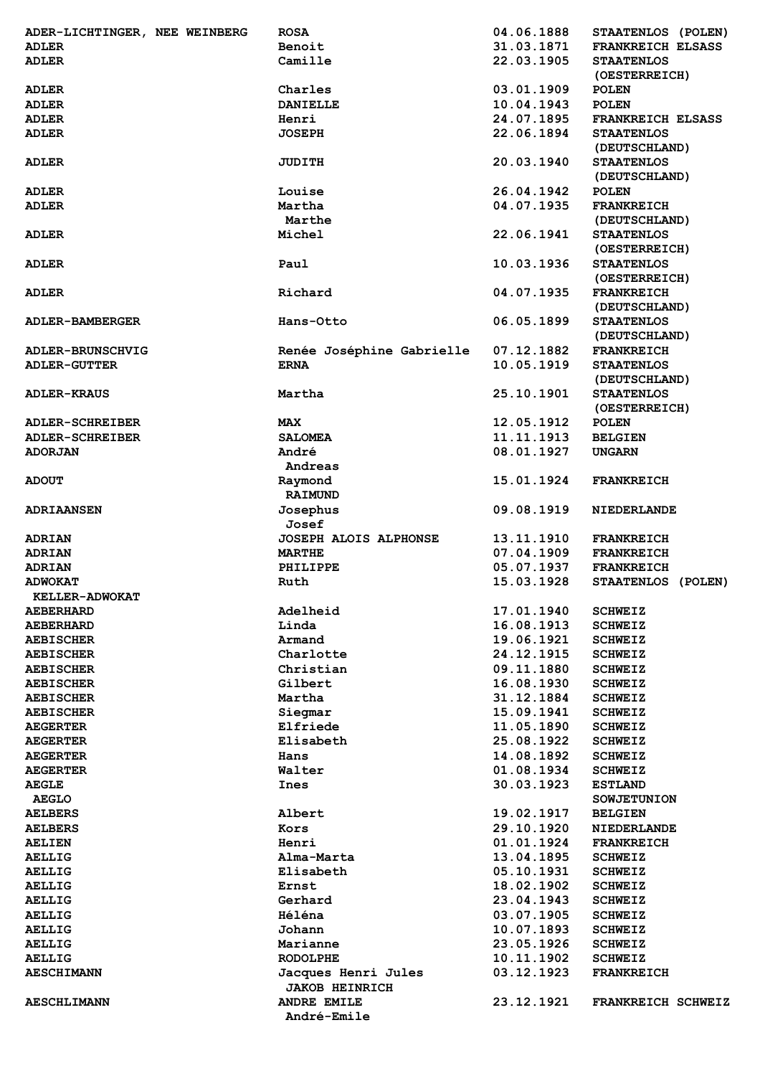| ADER-LICHTINGER, NEE WEINBERG                       | <b>ROSA</b>                       | 04.06.1888 | STAATENLOS (POLEN)        |
|-----------------------------------------------------|-----------------------------------|------------|---------------------------|
| <b>ADLER</b>                                        | Benoit                            | 31.03.1871 | <b>FRANKREICH ELSASS</b>  |
| <b>ADLER</b>                                        | Camille                           | 22.03.1905 | <b>STAATENLOS</b>         |
|                                                     |                                   |            |                           |
|                                                     |                                   |            | (OESTERREICH)             |
| <b>ADLER</b>                                        | Charles                           | 03.01.1909 | <b>POLEN</b>              |
| <b>ADLER</b>                                        | <b>DANIELLE</b>                   | 10.04.1943 | <b>POLEN</b>              |
| <b>ADLER</b>                                        | Henri                             | 24.07.1895 | <b>FRANKREICH ELSASS</b>  |
|                                                     |                                   |            |                           |
| <b>ADLER</b>                                        | <b>JOSEPH</b>                     | 22.06.1894 | <b>STAATENLOS</b>         |
|                                                     |                                   |            | (DEUTSCHLAND)             |
| <b>ADLER</b>                                        | <b>JUDITH</b>                     | 20.03.1940 | <b>STAATENLOS</b>         |
|                                                     |                                   |            | (DEUTSCHLAND)             |
| <b>ADLER</b>                                        | Louise                            | 26.04.1942 | <b>POLEN</b>              |
|                                                     |                                   |            |                           |
| <b>ADLER</b>                                        | Martha                            | 04.07.1935 | <b>FRANKREICH</b>         |
|                                                     | Marthe                            |            | (DEUTSCHLAND)             |
| <b>ADLER</b>                                        | Michel                            | 22.06.1941 | <b>STAATENLOS</b>         |
|                                                     |                                   |            | (OESTERREICH)             |
|                                                     |                                   |            |                           |
| <b>ADLER</b>                                        | Paul                              | 10.03.1936 | <b>STAATENLOS</b>         |
|                                                     |                                   |            | (OESTERREICH)             |
| <b>ADLER</b>                                        | Richard                           | 04.07.1935 | <b>FRANKREICH</b>         |
|                                                     |                                   |            | (DEUTSCHLAND)             |
|                                                     |                                   | 06.05.1899 | <b>STAATENLOS</b>         |
| <b>ADLER-BAMBERGER</b>                              | Hans-Otto                         |            |                           |
|                                                     |                                   |            | (DEUTSCHLAND)             |
| <b>ADLER-BRUNSCHVIG</b>                             | Renée Joséphine Gabrielle         | 07.12.1882 | <b>FRANKREICH</b>         |
| <b>ADLER-GUTTER</b>                                 | <b>ERNA</b>                       | 10.05.1919 | <b>STAATENLOS</b>         |
|                                                     |                                   |            |                           |
|                                                     |                                   |            | (DEUTSCHLAND)             |
| <b>ADLER-KRAUS</b>                                  | Martha                            | 25.10.1901 | <b>STAATENLOS</b>         |
|                                                     |                                   |            | (OESTERREICH)             |
| <b>ADLER-SCHREIBER</b>                              | <b>MAX</b>                        | 12.05.1912 | <b>POLEN</b>              |
| <b>ADLER-SCHREIBER</b>                              | <b>SALOMEA</b>                    | 11.11.1913 | <b>BELGIEN</b>            |
|                                                     |                                   |            |                           |
| <b>ADORJAN</b>                                      | André                             | 08.01.1927 | <b>UNGARN</b>             |
|                                                     | Andreas                           |            |                           |
| <b>ADOUT</b>                                        | Raymond                           | 15.01.1924 | <b>FRANKREICH</b>         |
|                                                     | <b>RAIMUND</b>                    |            |                           |
|                                                     |                                   |            |                           |
| <b>ADRIAANSEN</b>                                   | Josephus                          | 09.08.1919 | <b>NIEDERLANDE</b>        |
|                                                     | Josef                             |            |                           |
| <b>ADRIAN</b>                                       | <b>JOSEPH ALOIS ALPHONSE</b>      | 13.11.1910 | <b>FRANKREICH</b>         |
| <b>ADRIAN</b>                                       | <b>MARTHE</b>                     | 07.04.1909 | <b>FRANKREICH</b>         |
|                                                     |                                   |            |                           |
| <b>ADRIAN</b>                                       | PHILIPPE                          | 05.07.1937 | <b>FRANKREICH</b>         |
| <b>ADWOKAT</b>                                      | Ruth                              | 15.03.1928 | STAATENLOS (POLEN)        |
| KELLER-ADWOKAT                                      |                                   |            |                           |
| <b>AEBERHARD</b>                                    | Adelheid                          | 17.01.1940 | <b>SCHWEIZ</b>            |
| <b>AEBERHARD</b>                                    | Linda                             | 16.08.1913 | <b>SCHWEIZ</b>            |
|                                                     |                                   |            |                           |
| <b>AEBISCHER</b>                                    | Armand                            | 19.06.1921 | <b>SCHWEIZ</b>            |
| <b>AEBISCHER</b>                                    | Charlotte                         | 24.12.1915 | <b>SCHWEIZ</b>            |
| <b>AEBISCHER</b>                                    | Christian                         | 09.11.1880 | <b>SCHWEIZ</b>            |
| <b>AEBISCHER</b>                                    | Gilbert                           | 16.08.1930 | <b>SCHWEIZ</b>            |
|                                                     |                                   |            |                           |
| <b>AEBISCHER</b>                                    | Martha                            | 31.12.1884 | <b>SCHWEIZ</b>            |
| <b>AEBISCHER</b>                                    | Siegmar                           | 15.09.1941 | <b>SCHWEIZ</b>            |
| <b>AEGERTER</b>                                     | Elfriede                          | 11.05.1890 | <b>SCHWEIZ</b>            |
| <b>AEGERTER</b>                                     | Elisabeth                         | 25.08.1922 | <b>SCHWEIZ</b>            |
|                                                     |                                   |            |                           |
| <b>AEGERTER</b>                                     | Hans                              | 14.08.1892 | <b>SCHWEIZ</b>            |
| <b>AEGERTER</b>                                     | Walter                            | 01.08.1934 | <b>SCHWEIZ</b>            |
| <b>AEGLE</b>                                        | Ines                              | 30.03.1923 | <b>ESTLAND</b>            |
| <b>AEGLO</b>                                        |                                   |            | <b>SOWJETUNION</b>        |
|                                                     |                                   |            |                           |
| <b>AELBERS</b>                                      | Albert                            | 19.02.1917 | <b>BELGIEN</b>            |
| <b>AELBERS</b>                                      | Kors                              | 29.10.1920 | <b>NIEDERLANDE</b>        |
| <b>AELIEN</b>                                       | Henri                             | 01.01.1924 | <b>FRANKREICH</b>         |
| <b>AELLIG</b>                                       | Alma-Marta                        | 13.04.1895 | <b>SCHWEIZ</b>            |
| <b>AELLIG</b>                                       | Elisabeth                         | 05.10.1931 | <b>SCHWEIZ</b>            |
|                                                     |                                   |            |                           |
| <b>AELLIG</b>                                       | Ernst                             | 18.02.1902 | <b>SCHWEIZ</b>            |
| <b>AELLIG</b>                                       | Gerhard                           | 23.04.1943 | <b>SCHWEIZ</b>            |
| <b>AELLIG</b>                                       | Héléna                            | 03.07.1905 | <b>SCHWEIZ</b>            |
| <b>AELLIG</b>                                       |                                   |            |                           |
|                                                     |                                   |            |                           |
|                                                     | Johann                            | 10.07.1893 | <b>SCHWEIZ</b>            |
|                                                     | Marianne                          | 23.05.1926 | <b>SCHWEIZ</b>            |
|                                                     | <b>RODOLPHE</b>                   | 10.11.1902 | <b>SCHWEIZ</b>            |
| <b>AELLIG</b><br><b>AELLIG</b><br><b>AESCHIMANN</b> | Jacques Henri Jules               | 03.12.1923 | <b>FRANKREICH</b>         |
|                                                     |                                   |            |                           |
|                                                     | <b>JAKOB HEINRICH</b>             |            |                           |
| <b>AESCHLIMANN</b>                                  | <b>ANDRE EMILE</b><br>André-Emile | 23.12.1921 | <b>FRANKREICH SCHWEIZ</b> |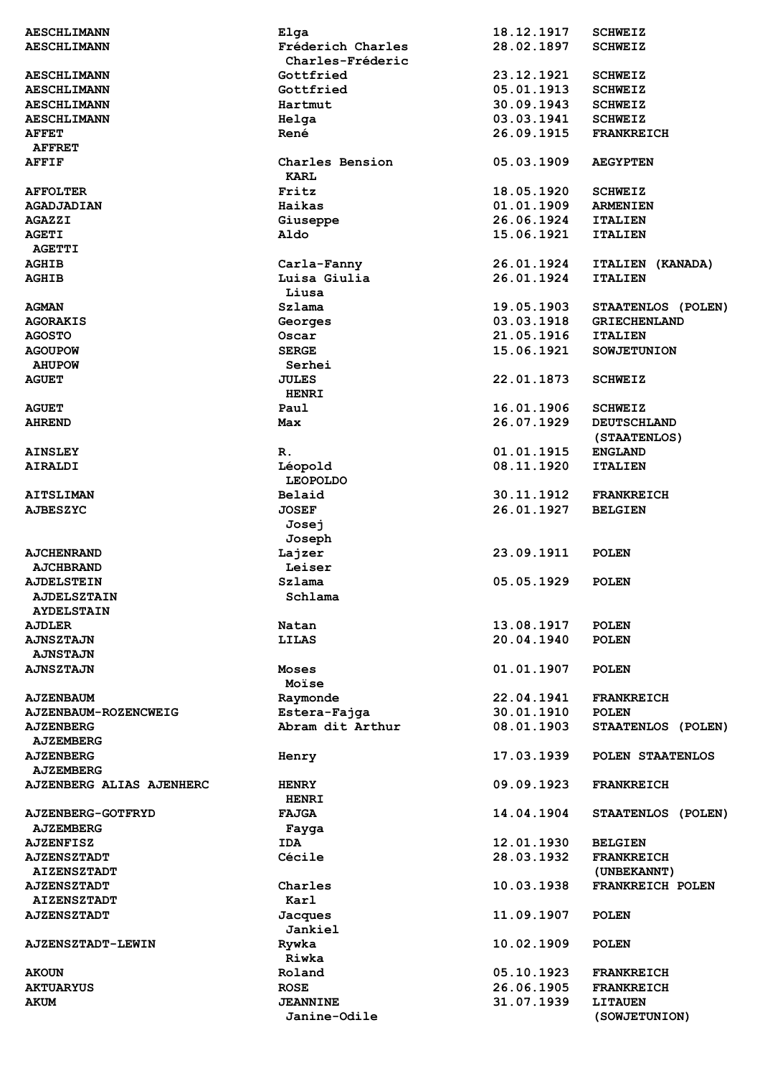| <b>AESCHLIMANN</b>              | Elga                                  | 18.12.1917 | <b>SCHWEIZ</b>      |
|---------------------------------|---------------------------------------|------------|---------------------|
| <b>AESCHLIMANN</b>              | Fréderich Charles<br>Charles-Fréderic | 28.02.1897 | <b>SCHWEIZ</b>      |
| <b>AESCHLIMANN</b>              | Gottfried                             | 23.12.1921 | <b>SCHWEIZ</b>      |
| <b>AESCHLIMANN</b>              | Gottfried                             | 05.01.1913 | <b>SCHWEIZ</b>      |
| <b>AESCHLIMANN</b>              | Hartmut                               | 30.09.1943 | <b>SCHWEIZ</b>      |
|                                 |                                       |            |                     |
| <b>AESCHLIMANN</b>              | Helga                                 | 03.03.1941 | <b>SCHWEIZ</b>      |
| <b>AFFET</b>                    | René                                  | 26.09.1915 | <b>FRANKREICH</b>   |
| <b>AFFRET</b>                   |                                       |            |                     |
| <b>AFFIF</b>                    | Charles Bension<br><b>KARL</b>        | 05.03.1909 | <b>AEGYPTEN</b>     |
|                                 |                                       |            |                     |
| <b>AFFOLTER</b>                 | Fritz                                 | 18.05.1920 | <b>SCHWEIZ</b>      |
| <b>AGADJADIAN</b>               | Haikas                                | 01.01.1909 | <b>ARMENIEN</b>     |
| <b>AGAZZI</b>                   | Giuseppe                              | 26.06.1924 | <b>ITALIEN</b>      |
| <b>AGETI</b>                    | Aldo                                  | 15.06.1921 | <b>ITALIEN</b>      |
| <b>AGETTI</b>                   |                                       |            |                     |
| <b>AGHIB</b>                    | Carla-Fanny                           | 26.01.1924 | ITALIEN (KANADA)    |
| <b>AGHIB</b>                    | Luisa Giulia                          | 26.01.1924 | <b>ITALIEN</b>      |
|                                 | Liusa                                 |            |                     |
| <b>AGMAN</b>                    | Szlama                                | 19.05.1903 | STAATENLOS (POLEN)  |
| <b>AGORAKIS</b>                 | Georges                               | 03.03.1918 | <b>GRIECHENLAND</b> |
| <b>AGOSTO</b>                   | Oscar                                 | 21.05.1916 | <b>ITALIEN</b>      |
|                                 |                                       |            |                     |
| <b>AGOUPOW</b>                  | <b>SERGE</b>                          | 15.06.1921 | <b>SOWJETUNION</b>  |
| <b>AHUPOW</b>                   | Serhei                                |            |                     |
| <b>AGUET</b>                    | <b>JULES</b>                          | 22.01.1873 | <b>SCHWEIZ</b>      |
|                                 | <b>HENRI</b>                          |            |                     |
| <b>AGUET</b>                    | Paul                                  | 16.01.1906 | <b>SCHWEIZ</b>      |
| <b>AHREND</b>                   | Max                                   | 26.07.1929 | <b>DEUTSCHLAND</b>  |
|                                 |                                       |            | (STAATENLOS)        |
| <b>AINSLEY</b>                  | R.                                    | 01.01.1915 | <b>ENGLAND</b>      |
| <b>AIRALDI</b>                  | Léopold                               | 08.11.1920 | <b>ITALIEN</b>      |
|                                 | <b>LEOPOLDO</b>                       |            |                     |
| <b>AITSLIMAN</b>                | Belaid                                | 30.11.1912 | <b>FRANKREICH</b>   |
| <b>AJBESZYC</b>                 | <b>JOSEF</b>                          | 26.01.1927 | <b>BELGIEN</b>      |
|                                 |                                       |            |                     |
|                                 | Josej                                 |            |                     |
|                                 | Joseph                                |            |                     |
| <b>AJCHENRAND</b>               | Lajzer                                | 23.09.1911 | <b>POLEN</b>        |
| <b>AJCHBRAND</b>                | Leiser                                |            |                     |
| <b>AJDELSTEIN</b>               | Szlama                                | 05.05.1929 | <b>POLEN</b>        |
| <b>AJDELSZTAIN</b>              | Schlama                               |            |                     |
| <b>AYDELSTAIN</b>               |                                       |            |                     |
| <b>AJDLER</b>                   | Natan                                 | 13.08.1917 | <b>POLEN</b>        |
| <b>AJNSZTAJN</b>                | <b>LILAS</b>                          | 20.04.1940 | <b>POLEN</b>        |
| <b>AJNSTAJN</b>                 |                                       |            |                     |
| <b>AJNSZTAJN</b>                | Moses                                 | 01.01.1907 | <b>POLEN</b>        |
|                                 | Moïse                                 |            |                     |
| <b>AJZENBAUM</b>                | Raymonde                              | 22.04.1941 | <b>FRANKREICH</b>   |
|                                 |                                       | 30.01.1910 | <b>POLEN</b>        |
| <b>AJZENBAUM-ROZENCWEIG</b>     | Estera-Fajga<br>Abram dit Arthur      |            |                     |
| <b>AJZENBERG</b>                |                                       | 08.01.1903 | STAATENLOS (POLEN)  |
| <b>AJZEMBERG</b>                |                                       |            |                     |
| <b>AJZENBERG</b>                | Henry                                 | 17.03.1939 | POLEN STAATENLOS    |
| <b>AJZEMBERG</b>                |                                       |            |                     |
| <b>AJZENBERG ALIAS AJENHERC</b> | <b>HENRY</b>                          | 09.09.1923 | <b>FRANKREICH</b>   |
|                                 | <b>HENRI</b>                          |            |                     |
| <b>AJZENBERG-GOTFRYD</b>        | <b>FAJGA</b>                          | 14.04.1904 | STAATENLOS (POLEN)  |
| <b>AJZEMBERG</b>                | Fayga                                 |            |                     |
| <b>AJZENFISZ</b>                | IDA                                   | 12.01.1930 | <b>BELGIEN</b>      |
| <b>AJZENSZTADT</b>              | Cécile                                | 28.03.1932 | <b>FRANKREICH</b>   |
| <b>AIZENSZTADT</b>              |                                       |            | (UNBEKANNT)         |
| <b>AJZENSZTADT</b>              | Charles                               | 10.03.1938 | FRANKREICH POLEN    |
|                                 |                                       |            |                     |
| <b>AIZENSZTADT</b>              | Karl                                  |            |                     |
| <b>AJZENSZTADT</b>              | Jacques                               | 11.09.1907 | <b>POLEN</b>        |
|                                 | Jankiel                               |            |                     |
| <b>AJZENSZTADT-LEWIN</b>        | Rywka                                 | 10.02.1909 | <b>POLEN</b>        |
|                                 | Riwka                                 |            |                     |
| <b>AKOUN</b>                    | Roland                                | 05.10.1923 | <b>FRANKREICH</b>   |
| <b>AKTUARYUS</b>                | <b>ROSE</b>                           | 26.06.1905 | <b>FRANKREICH</b>   |
| <b>AKUM</b>                     | <b>JEANNINE</b>                       | 31.07.1939 | <b>LITAUEN</b>      |
|                                 | Janine-Odile                          |            | (SOWJETUNION)       |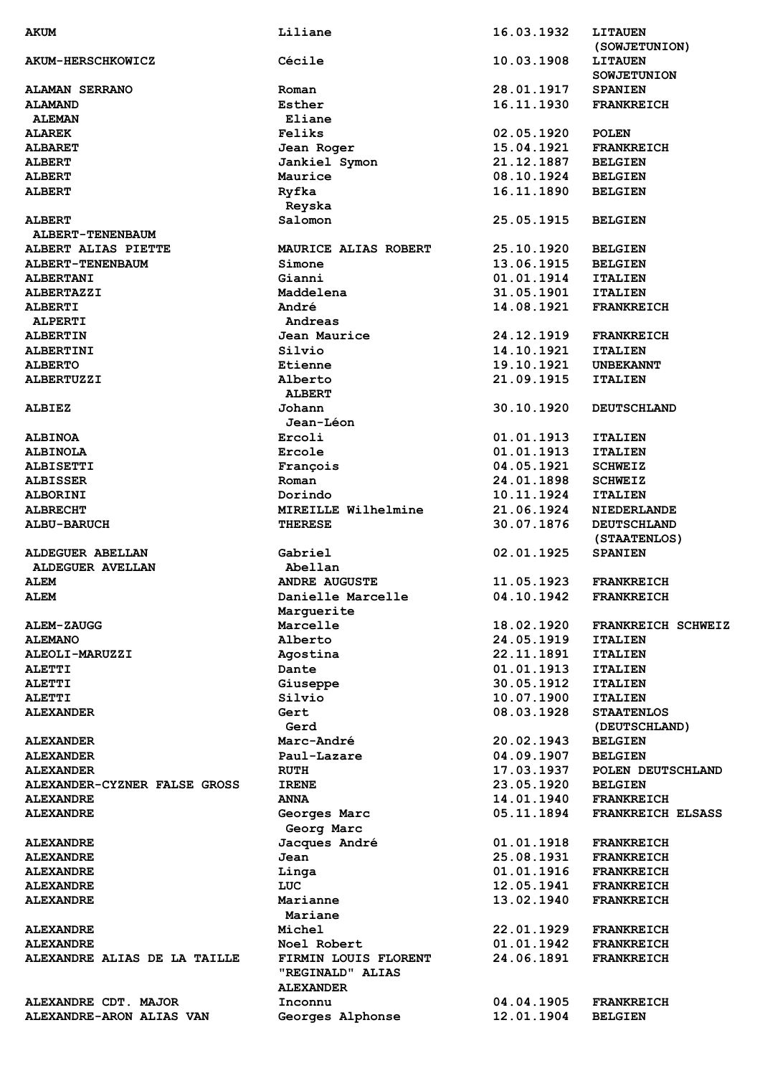| <b>AKUM</b>                                      | Liliane                     | 16.03.1932               | <b>LITAUEN</b>                      |
|--------------------------------------------------|-----------------------------|--------------------------|-------------------------------------|
|                                                  |                             |                          | (SOWJETUNION)                       |
| <b>AKUM-HERSCHKOWICZ</b>                         | Cécile                      | 10.03.1908               | <b>LITAUEN</b>                      |
|                                                  |                             |                          | <b>SOWJETUNION</b>                  |
| <b>ALAMAN SERRANO</b>                            | Roman                       | 28.01.1917               | <b>SPANIEN</b>                      |
|                                                  |                             |                          |                                     |
| <b>ALAMAND</b>                                   | Esther                      | 16.11.1930               | <b>FRANKREICH</b>                   |
| <b>ALEMAN</b>                                    | Eliane                      |                          |                                     |
| <b>ALAREK</b>                                    | Feliks                      | 02.05.1920               | <b>POLEN</b>                        |
| <b>ALBARET</b>                                   | Jean Roger                  | 15.04.1921               | <b>FRANKREICH</b>                   |
| <b>ALBERT</b>                                    | Jankiel Symon               | 21.12.1887               | <b>BELGIEN</b>                      |
| <b>ALBERT</b>                                    | Maurice                     | 08.10.1924               | <b>BELGIEN</b>                      |
|                                                  |                             | 16.11.1890               |                                     |
| <b>ALBERT</b>                                    | Ryfka                       |                          | <b>BELGIEN</b>                      |
|                                                  | Reyska                      |                          |                                     |
| <b>ALBERT</b>                                    | Salomon                     | 25.05.1915               | <b>BELGIEN</b>                      |
| ALBERT-TENENBAUM                                 |                             |                          |                                     |
| ALBERT ALIAS PIETTE                              | MAURICE ALIAS ROBERT        | 25.10.1920               | <b>BELGIEN</b>                      |
| ALBERT-TENENBAUM                                 | Simone                      | 13.06.1915               | <b>BELGIEN</b>                      |
| <b>ALBERTANI</b>                                 | Gianni                      | 01.01.1914               | <b>ITALIEN</b>                      |
|                                                  |                             |                          |                                     |
| <b>ALBERTAZZI</b>                                | Maddelena                   | 31.05.1901               | <b>ITALIEN</b>                      |
| <b>ALBERTI</b>                                   | André                       | 14.08.1921               | <b>FRANKREICH</b>                   |
| <b>ALPERTI</b>                                   | Andreas                     |                          |                                     |
| <b>ALBERTIN</b>                                  | Jean Maurice                | 24.12.1919               | <b>FRANKREICH</b>                   |
| <b>ALBERTINI</b>                                 | Silvio                      | 14.10.1921               | <b>ITALIEN</b>                      |
| <b>ALBERTO</b>                                   | Etienne                     | 19.10.1921               | <b>UNBEKANNT</b>                    |
|                                                  |                             |                          |                                     |
| <b>ALBERTUZZI</b>                                | Alberto                     | 21.09.1915               | <b>ITALIEN</b>                      |
|                                                  | <b>ALBERT</b>               |                          |                                     |
| <b>ALBIEZ</b>                                    | Johann                      | 30.10.1920               | <b>DEUTSCHLAND</b>                  |
|                                                  | Jean-Léon                   |                          |                                     |
| <b>ALBINOA</b>                                   | Ercoli                      | 01.01.1913               | <b>ITALIEN</b>                      |
| <b>ALBINOLA</b>                                  | Ercole                      | 01.01.1913               | <b>ITALIEN</b>                      |
|                                                  |                             |                          |                                     |
| <b>ALBISETTI</b>                                 | François                    | 04.05.1921               | <b>SCHWEIZ</b>                      |
| <b>ALBISSER</b>                                  | Roman                       | 24.01.1898               | <b>SCHWEIZ</b>                      |
| <b>ALBORINI</b>                                  | Dorindo                     | 10.11.1924               | <b>ITALIEN</b>                      |
| <b>ALBRECHT</b>                                  | MIREILLE Wilhelmine         | 21.06.1924               | <b>NIEDERLANDE</b>                  |
| <b>ALBU-BARUCH</b>                               | <b>THERESE</b>              | 30.07.1876               | <b>DEUTSCHLAND</b>                  |
|                                                  |                             |                          | (STAATENLOS)                        |
|                                                  |                             |                          |                                     |
| <b>ALDEGUER ABELLAN</b>                          | Gabriel                     | 02.01.1925               | <b>SPANIEN</b>                      |
| <b>ALDEGUER AVELLAN</b>                          | Abellan                     |                          |                                     |
| <b>ALEM</b>                                      | <b>ANDRE AUGUSTE</b>        | 11.05.1923               | <b>FRANKREICH</b>                   |
| <b>ALEM</b>                                      | Danielle Marcelle           | 04.10.1942               | FRANKREICH                          |
|                                                  | Marguerite                  |                          |                                     |
| <b>ALEM-ZAUGG</b>                                | Marcelle                    | 18.02.1920               | FRANKREICH SCHWEIZ                  |
|                                                  | Alberto                     |                          |                                     |
| <b>ALEMANO</b>                                   |                             | 24.05.1919               | <b>ITALIEN</b>                      |
| ALEOLI-MARUZZI                                   | Agostina                    | 22.11.1891               | <b>ITALIEN</b>                      |
| <b>ALETTI</b>                                    | Dante                       | 01.01.1913               | <b>ITALIEN</b>                      |
| <b>ALETTI</b>                                    | Giuseppe                    | 30.05.1912               | <b>ITALIEN</b>                      |
| <b>ALETTI</b>                                    | Silvio                      | 10.07.1900               | <b>ITALIEN</b>                      |
| <b>ALEXANDER</b>                                 | Gert                        | 08.03.1928               | <b>STAATENLOS</b>                   |
|                                                  | Gerd                        |                          | (DEUTSCHLAND)                       |
|                                                  |                             |                          |                                     |
| <b>ALEXANDER</b>                                 | <b>Marc-André</b>           | 20.02.1943               | <b>BELGIEN</b>                      |
| <b>ALEXANDER</b>                                 | Paul-Lazare                 | 04.09.1907               | <b>BELGIEN</b>                      |
| <b>ALEXANDER</b>                                 | <b>RUTH</b>                 | 17.03.1937               | POLEN DEUTSCHLAND                   |
| ALEXANDER-CYZNER FALSE GROSS                     | <b>IRENE</b>                | 23.05.1920               | <b>BELGIEN</b>                      |
| <b>ALEXANDRE</b>                                 | <b>ANNA</b>                 | 14.01.1940               | <b>FRANKREICH</b>                   |
|                                                  |                             |                          |                                     |
| <b>ALEXANDRE</b>                                 | Georges Marc                | 05.11.1894               | <b>FRANKREICH ELSASS</b>            |
|                                                  | Georg Marc                  |                          |                                     |
| <b>ALEXANDRE</b>                                 | Jacques André               | 01.01.1918               | <b>FRANKREICH</b>                   |
| <b>ALEXANDRE</b>                                 |                             |                          |                                     |
| <b>ALEXANDRE</b>                                 | Jean                        | 25.08.1931               | <b>FRANKREICH</b>                   |
|                                                  | Linga                       | 01.01.1916               | <b>FRANKREICH</b>                   |
|                                                  |                             |                          |                                     |
| <b>ALEXANDRE</b>                                 | LUC                         | 12.05.1941               | <b>FRANKREICH</b>                   |
| <b>ALEXANDRE</b>                                 | Marianne                    | 13.02.1940               | <b>FRANKREICH</b>                   |
|                                                  | Mariane                     |                          |                                     |
| <b>ALEXANDRE</b>                                 | Michel                      | 22.01.1929               | <b>FRANKREICH</b>                   |
| <b>ALEXANDRE</b>                                 | Noel Robert                 | 01.01.1942               | <b>FRANKREICH</b>                   |
| ALEXANDRE ALIAS DE LA TAILLE                     | FIRMIN LOUIS FLORENT        | 24.06.1891               | <b>FRANKREICH</b>                   |
|                                                  |                             |                          |                                     |
|                                                  | "REGINALD" ALIAS            |                          |                                     |
|                                                  | <b>ALEXANDER</b>            |                          |                                     |
| ALEXANDRE CDT. MAJOR<br>ALEXANDRE-ARON ALIAS VAN | Inconnu<br>Georges Alphonse | 04.04.1905<br>12.01.1904 | <b>FRANKREICH</b><br><b>BELGIEN</b> |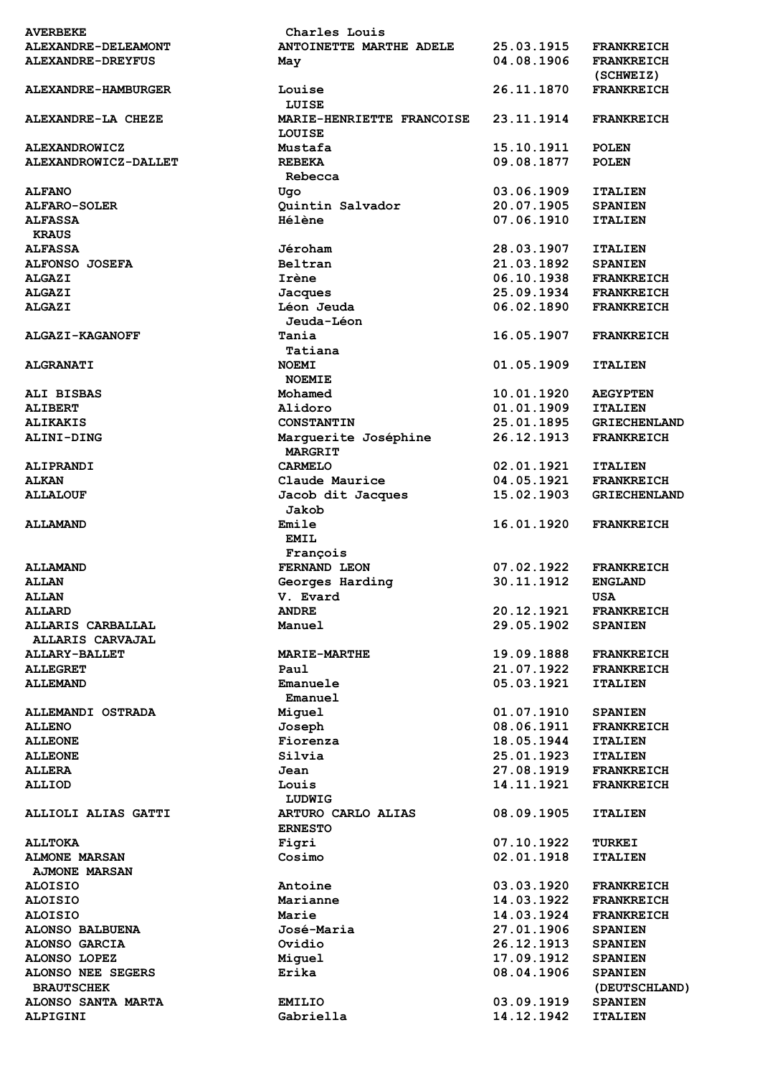| <b>AVERBEKE</b>          | Charles Louis             |            |                     |
|--------------------------|---------------------------|------------|---------------------|
| ALEXANDRE-DELEAMONT      | ANTOINETTE MARTHE ADELE   | 25.03.1915 | <b>FRANKREICH</b>   |
| <b>ALEXANDRE-DREYFUS</b> | May                       | 04.08.1906 | <b>FRANKREICH</b>   |
|                          |                           |            | (SCHWEIZ)           |
| ALEXANDRE-HAMBURGER      | Louise                    | 26.11.1870 | <b>FRANKREICH</b>   |
|                          | LUISE                     |            |                     |
| ALEXANDRE-LA CHEZE       | MARIE-HENRIETTE FRANCOISE | 23.11.1914 | <b>FRANKREICH</b>   |
|                          | LOUISE                    |            |                     |
| <b>ALEXANDROWICZ</b>     | Mustafa                   | 15.10.1911 | <b>POLEN</b>        |
| ALEXANDROWICZ-DALLET     | <b>REBEKA</b>             | 09.08.1877 | <b>POLEN</b>        |
|                          | Rebecca                   |            |                     |
| <b>ALFANO</b>            | Uqo                       | 03.06.1909 | <b>ITALIEN</b>      |
| ALFARO-SOLER             | Quintin Salvador          | 20.07.1905 | <b>SPANIEN</b>      |
|                          | Hélène                    | 07.06.1910 |                     |
| <b>ALFASSA</b>           |                           |            | <b>ITALIEN</b>      |
| <b>KRAUS</b>             |                           |            |                     |
| <b>ALFASSA</b>           | Jéroham                   | 28.03.1907 | <b>ITALIEN</b>      |
| <b>ALFONSO JOSEFA</b>    | Beltran                   | 21.03.1892 | <b>SPANIEN</b>      |
| <b>ALGAZI</b>            | Irène                     | 06.10.1938 | <b>FRANKREICH</b>   |
| <b>ALGAZI</b>            | Jacques                   | 25.09.1934 | <b>FRANKREICH</b>   |
| <b>ALGAZI</b>            | Léon Jeuda                | 06.02.1890 | <b>FRANKREICH</b>   |
|                          | Jeuda-Léon                |            |                     |
| ALGAZI-KAGANOFF          | Tania                     | 16.05.1907 | <b>FRANKREICH</b>   |
|                          | Tatiana                   |            |                     |
| <b>ALGRANATI</b>         | <b>NOEMI</b>              | 01.05.1909 | <b>ITALIEN</b>      |
|                          | <b>NOEMIE</b>             |            |                     |
| ALI BISBAS               | Mohamed                   | 10.01.1920 | <b>AEGYPTEN</b>     |
| <b>ALIBERT</b>           | Alidoro                   | 01.01.1909 | <b>ITALIEN</b>      |
| <b>ALIKAKIS</b>          | <b>CONSTANTIN</b>         | 25.01.1895 | <b>GRIECHENLAND</b> |
| <b>ALINI-DING</b>        | Marguerite Joséphine      | 26.12.1913 | <b>FRANKREICH</b>   |
|                          | <b>MARGRIT</b>            |            |                     |
| ALIPRANDI                | <b>CARMELO</b>            | 02.01.1921 | <b>ITALIEN</b>      |
| <b>ALKAN</b>             | Claude Maurice            | 04.05.1921 | <b>FRANKREICH</b>   |
| <b>ALLALOUF</b>          | Jacob dit Jacques         | 15.02.1903 | <b>GRIECHENLAND</b> |
|                          | Jakob                     |            |                     |
|                          | Emile                     |            |                     |
| <b>ALLAMAND</b>          |                           | 16.01.1920 | <b>FRANKREICH</b>   |
|                          | <b>EMIL</b>               |            |                     |
|                          | François                  |            |                     |
| <b>ALLAMAND</b>          | FERNAND LEON              | 07.02.1922 | <b>FRANKREICH</b>   |
| <b>ALLAN</b>             | Georges Harding           | 30.11.1912 | <b>ENGLAND</b>      |
| <b>ALLAN</b>             | V. Evard                  |            | USA                 |
| <b>ALLARD</b>            | <b>ANDRE</b>              | 20.12.1921 | <b>FRANKREICH</b>   |
| ALLARIS CARBALLAL        | Manuel                    | 29.05.1902 | <b>SPANIEN</b>      |
| <b>ALLARIS CARVAJAL</b>  |                           |            |                     |
| <b>ALLARY-BALLET</b>     | <b>MARIE-MARTHE</b>       | 19.09.1888 | <b>FRANKREICH</b>   |
| <b>ALLEGRET</b>          | Paul                      | 21.07.1922 | <b>FRANKREICH</b>   |
| <b>ALLEMAND</b>          | Emanuele                  | 05.03.1921 | <b>ITALIEN</b>      |
|                          | Emanuel                   |            |                     |
| ALLEMANDI OSTRADA        | Miguel                    | 01.07.1910 | <b>SPANIEN</b>      |
| <b>ALLENO</b>            | Joseph                    | 08.06.1911 | <b>FRANKREICH</b>   |
| <b>ALLEONE</b>           | Fiorenza                  | 18.05.1944 | <b>ITALIEN</b>      |
| <b>ALLEONE</b>           | Silvia                    | 25.01.1923 | <b>ITALIEN</b>      |
| <b>ALLERA</b>            | Jean                      | 27.08.1919 | <b>FRANKREICH</b>   |
|                          | Louis                     | 14.11.1921 |                     |
| <b>ALLIOD</b>            |                           |            | <b>FRANKREICH</b>   |
|                          | LUDWIG                    |            |                     |
| ALLIOLI ALIAS GATTI      | ARTURO CARLO ALIAS        | 08.09.1905 | <b>ITALIEN</b>      |
|                          | <b>ERNESTO</b>            |            |                     |
| <b>ALLTOKA</b>           | Figri                     | 07.10.1922 | <b>TURKEI</b>       |
| <b>ALMONE MARSAN</b>     | Cosimo                    | 02.01.1918 | <b>ITALIEN</b>      |
| <b>AJMONE MARSAN</b>     |                           |            |                     |
| <b>ALOISIO</b>           | Antoine                   | 03.03.1920 | <b>FRANKREICH</b>   |
| <b>ALOISIO</b>           | Marianne                  | 14.03.1922 | <b>FRANKREICH</b>   |
| <b>ALOISIO</b>           | Marie                     | 14.03.1924 | <b>FRANKREICH</b>   |
| <b>ALONSO BALBUENA</b>   | José-Maria                | 27.01.1906 | <b>SPANIEN</b>      |
| ALONSO GARCIA            | Ovidio                    | 26.12.1913 | <b>SPANIEN</b>      |
| <b>ALONSO LOPEZ</b>      | Miguel                    | 17.09.1912 | <b>SPANIEN</b>      |
| ALONSO NEE SEGERS        | Erika                     | 08.04.1906 | <b>SPANIEN</b>      |
| <b>BRAUTSCHEK</b>        |                           |            | (DEUTSCHLAND)       |
| ALONSO SANTA MARTA       | <b>EMILIO</b>             | 03.09.1919 | <b>SPANIEN</b>      |
| ALPIGINI                 | Gabriella                 | 14.12.1942 | <b>ITALIEN</b>      |
|                          |                           |            |                     |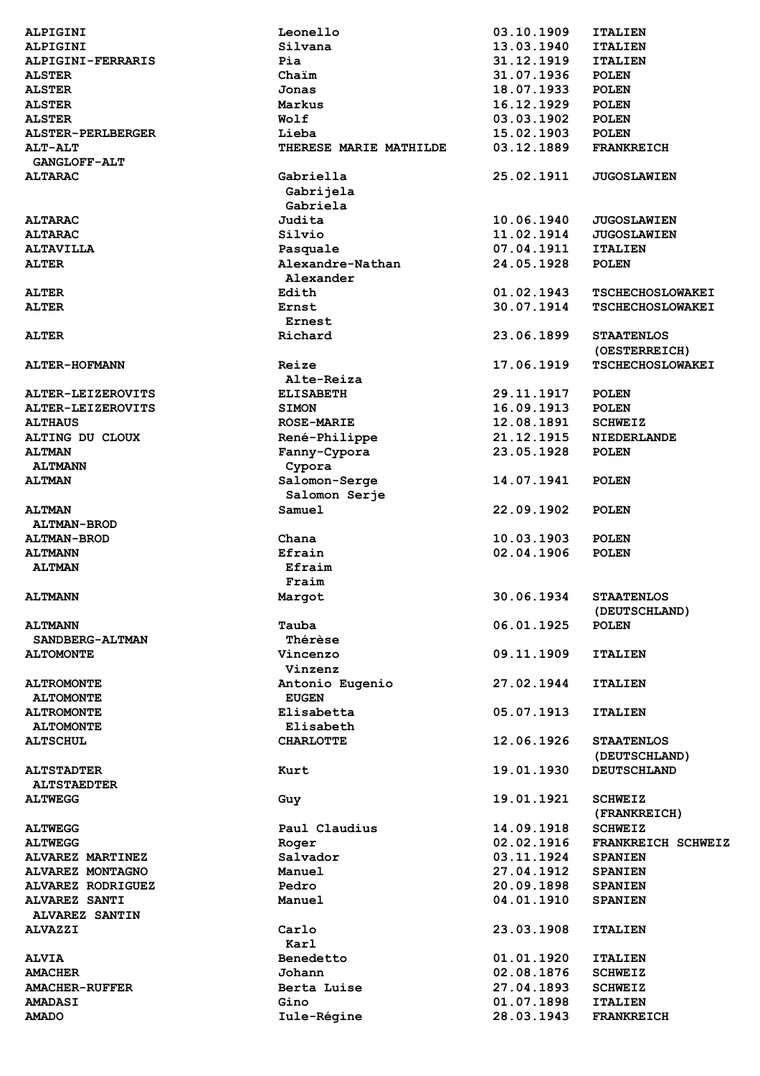| ALPIGINI                 | Leonello               | 03.10.1909 | <b>ITALIEN</b>          |
|--------------------------|------------------------|------------|-------------------------|
| ALPIGINI                 | Silvana                | 13.03.1940 | <b>ITALIEN</b>          |
|                          |                        |            |                         |
| ALPIGINI-FERRARIS        | Pia                    | 31.12.1919 | <b>ITALIEN</b>          |
| <b>ALSTER</b>            | Chaim                  | 31.07.1936 | <b>POLEN</b>            |
| <b>ALSTER</b>            | Jonas                  | 18.07.1933 | <b>POLEN</b>            |
| <b>ALSTER</b>            | Markus                 | 16.12.1929 | <b>POLEN</b>            |
| <b>ALSTER</b>            | Wolf                   | 03.03.1902 | <b>POLEN</b>            |
| <b>ALSTER-PERLBERGER</b> | Lieba                  | 15.02.1903 | <b>POLEN</b>            |
| <b>ALT-ALT</b>           | THERESE MARIE MATHILDE | 03.12.1889 | <b>FRANKREICH</b>       |
| <b>GANGLOFF-ALT</b>      |                        |            |                         |
| <b>ALTARAC</b>           | Gabriella              | 25.02.1911 | <b>JUGOSLAWIEN</b>      |
|                          |                        |            |                         |
|                          | Gabrijela              |            |                         |
|                          | Gabriela               |            |                         |
| <b>ALTARAC</b>           | Judita                 | 10.06.1940 | <b>JUGOSLAWIEN</b>      |
| <b>ALTARAC</b>           | Silvio                 | 11.02.1914 | <b>JUGOSLAWIEN</b>      |
| <b>ALTAVILLA</b>         | Pasquale               | 07.04.1911 | <b>ITALIEN</b>          |
| <b>ALTER</b>             | Alexandre-Nathan       | 24.05.1928 | <b>POLEN</b>            |
|                          | Alexander              |            |                         |
| <b>ALTER</b>             | Edith                  | 01.02.1943 | <b>TSCHECHOSLOWAKEI</b> |
| <b>ALTER</b>             | Ernst                  | 30.07.1914 | <b>TSCHECHOSLOWAKEI</b> |
|                          |                        |            |                         |
|                          | Ernest                 |            |                         |
| <b>ALTER</b>             | Richard                | 23.06.1899 | <b>STAATENLOS</b>       |
|                          |                        |            | (OESTERREICH)           |
| ALTER-HOFMANN            | Reize                  | 17.06.1919 | <b>TSCHECHOSLOWAKEI</b> |
|                          | Alte-Reiza             |            |                         |
| ALTER-LEIZEROVITS        | <b>ELISABETH</b>       | 29.11.1917 | <b>POLEN</b>            |
| ALTER-LEIZEROVITS        | <b>SIMON</b>           | 16.09.1913 | <b>POLEN</b>            |
| <b>ALTHAUS</b>           | <b>ROSE-MARIE</b>      | 12.08.1891 | <b>SCHWEIZ</b>          |
| ALTING DU CLOUX          |                        | 21.12.1915 | NIEDERLANDE             |
|                          | René-Philippe          |            |                         |
| <b>ALTMAN</b>            | Fanny-Cypora           | 23.05.1928 | <b>POLEN</b>            |
| <b>ALTMANN</b>           | Cypora                 |            |                         |
| <b>ALTMAN</b>            | Salomon-Serge          | 14.07.1941 | <b>POLEN</b>            |
|                          | Salomon Serje          |            |                         |
| <b>ALTMAN</b>            | Samuel                 | 22.09.1902 | <b>POLEN</b>            |
| <b>ALTMAN-BROD</b>       |                        |            |                         |
| <b>ALTMAN-BROD</b>       | Chana                  | 10.03.1903 | <b>POLEN</b>            |
| <b>ALTMANN</b>           | Efrain                 | 02.04.1906 | <b>POLEN</b>            |
|                          | Efraim                 |            |                         |
| <b>ALTMAN</b>            |                        |            |                         |
|                          | Fraim                  |            |                         |
| <b>ALTMANN</b>           | Margot                 | 30.06.1934 | <b>STAATENLOS</b>       |
|                          |                        |            | (DEUTSCHLAND)           |
| <b>ALTMANN</b>           | Tauba                  | 06.01.1925 | <b>POLEN</b>            |
| SANDBERG-ALTMAN          | Thérèse                |            |                         |
| <b>ALTOMONTE</b>         | Vincenzo               | 09.11.1909 | <b>ITALIEN</b>          |
|                          | Vinzenz                |            |                         |
| <b>ALTROMONTE</b>        | Antonio Eugenio        | 27.02.1944 | <b>ITALIEN</b>          |
|                          |                        |            |                         |
| <b>ALTOMONTE</b>         | <b>EUGEN</b>           |            |                         |
| <b>ALTROMONTE</b>        | Elisabetta             | 05.07.1913 | <b>ITALIEN</b>          |
| <b>ALTOMONTE</b>         | Elisabeth              |            |                         |
| <b>ALTSCHUL</b>          | <b>CHARLOTTE</b>       | 12.06.1926 | <b>STAATENLOS</b>       |
|                          |                        |            | (DEUTSCHLAND)           |
| <b>ALTSTADTER</b>        | Kurt                   | 19.01.1930 | <b>DEUTSCHLAND</b>      |
| <b>ALTSTAEDTER</b>       |                        |            |                         |
| <b>ALTWEGG</b>           | Guy                    | 19.01.1921 | <b>SCHWEIZ</b>          |
|                          |                        |            | (FRANKREICH)            |
|                          | Paul Claudius          | 14.09.1918 |                         |
| <b>ALTWEGG</b>           |                        |            | <b>SCHWEIZ</b>          |
| <b>ALTWEGG</b>           | Roger                  | 02.02.1916 | FRANKREICH SCHWEIZ      |
| ALVAREZ MARTINEZ         | Salvador               | 03.11.1924 | <b>SPANIEN</b>          |
| <b>ALVAREZ MONTAGNO</b>  | Manuel                 | 27.04.1912 | <b>SPANIEN</b>          |
| ALVAREZ RODRIGUEZ        | Pedro                  | 20.09.1898 | <b>SPANIEN</b>          |
| <b>ALVAREZ SANTI</b>     | Manuel                 | 04.01.1910 | <b>SPANIEN</b>          |
| ALVAREZ SANTIN           |                        |            |                         |
| <b>ALVAZZI</b>           | Carlo                  | 23.03.1908 | <b>ITALIEN</b>          |
|                          | Karl                   |            |                         |
|                          | Benedetto              | 01.01.1920 |                         |
| <b>ALVIA</b>             |                        |            | <b>ITALIEN</b>          |
| <b>AMACHER</b>           | Johann                 | 02.08.1876 | <b>SCHWEIZ</b>          |
| <b>AMACHER-RUFFER</b>    | Berta Luise            | 27.04.1893 | <b>SCHWEIZ</b>          |
| <b>AMADASI</b>           | Gino                   | 01.07.1898 | <b>ITALIEN</b>          |
| <b>AMADO</b>             | Iule-Régine            | 28.03.1943 | <b>FRANKREICH</b>       |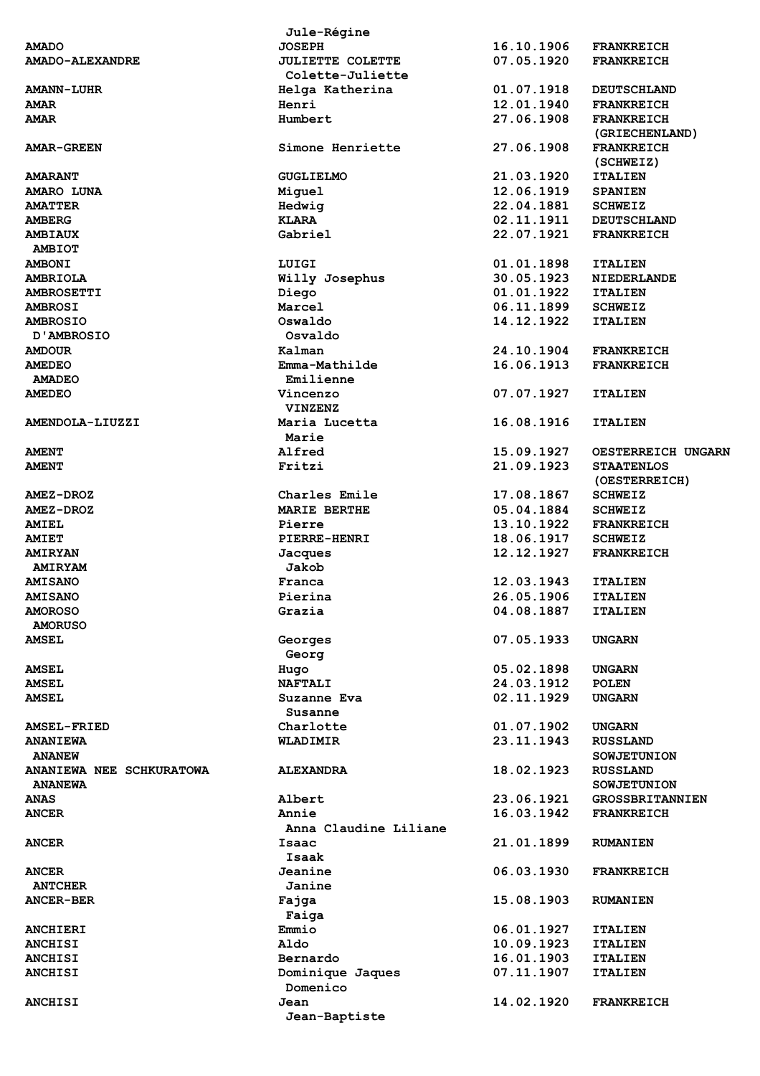|                                 | Jule-Régine             |            |                        |
|---------------------------------|-------------------------|------------|------------------------|
| <b>AMADO</b>                    | <b>JOSEPH</b>           | 16.10.1906 | <b>FRANKREICH</b>      |
| <b>AMADO-ALEXANDRE</b>          | <b>JULIETTE COLETTE</b> | 07.05.1920 | <b>FRANKREICH</b>      |
|                                 | Colette-Juliette        |            |                        |
| <b>AMANN-LUHR</b>               | Helga Katherina         | 01.07.1918 | <b>DEUTSCHLAND</b>     |
| <b>AMAR</b>                     | Henri                   | 12.01.1940 | <b>FRANKREICH</b>      |
| <b>AMAR</b>                     | Humbert                 | 27.06.1908 | <b>FRANKREICH</b>      |
|                                 |                         |            | (GRIECHENLAND)         |
| <b>AMAR-GREEN</b>               | Simone Henriette        | 27.06.1908 | <b>FRANKREICH</b>      |
|                                 |                         |            | (SCHWEIZ)              |
| <b>AMARANT</b>                  | <b>GUGLIELMO</b>        | 21.03.1920 | <b>ITALIEN</b>         |
| AMARO LUNA                      | Miguel                  | 12.06.1919 | <b>SPANIEN</b>         |
| <b>AMATTER</b>                  | Hedwig                  | 22.04.1881 | <b>SCHWEIZ</b>         |
|                                 | <b>KLARA</b>            | 02.11.1911 |                        |
| <b>AMBERG</b>                   | Gabriel                 |            | <b>DEUTSCHLAND</b>     |
| <b>AMBIAUX</b>                  |                         | 22.07.1921 | <b>FRANKREICH</b>      |
| <b>AMBIOT</b>                   |                         |            |                        |
| <b>AMBONI</b>                   | LUIGI                   | 01.01.1898 | <b>ITALIEN</b>         |
| <b>AMBRIOLA</b>                 | Willy Josephus          | 30.05.1923 | <b>NIEDERLANDE</b>     |
| <b>AMBROSETTI</b>               | Diego                   | 01.01.1922 | <b>ITALIEN</b>         |
| <b>AMBROSI</b>                  | Marcel                  | 06.11.1899 | <b>SCHWEIZ</b>         |
| <b>AMBROSIO</b>                 | Oswaldo                 | 14.12.1922 | <b>ITALIEN</b>         |
| D'AMBROSIO                      | Osvaldo                 |            |                        |
| <b>AMDOUR</b>                   | Kalman                  | 24.10.1904 | <b>FRANKREICH</b>      |
| <b>AMEDEO</b>                   | Emma-Mathilde           | 16.06.1913 | <b>FRANKREICH</b>      |
| <b>AMADEO</b>                   | Emilienne               |            |                        |
| <b>AMEDEO</b>                   | Vincenzo                | 07.07.1927 | <b>ITALIEN</b>         |
|                                 | <b>VINZENZ</b>          |            |                        |
| AMENDOLA-LIUZZI                 | Maria Lucetta           | 16.08.1916 | <b>ITALIEN</b>         |
|                                 | Marie                   |            |                        |
| <b>AMENT</b>                    | Alfred                  | 15.09.1927 | OESTERREICH UNGARN     |
| <b>AMENT</b>                    | Fritzi                  | 21.09.1923 | <b>STAATENLOS</b>      |
|                                 |                         |            | (OESTERREICH)          |
| <b>AMEZ-DROZ</b>                | Charles Emile           | 17.08.1867 | <b>SCHWEIZ</b>         |
| <b>AMEZ-DROZ</b>                | <b>MARIE BERTHE</b>     | 05.04.1884 | <b>SCHWEIZ</b>         |
|                                 | Pierre                  |            |                        |
| <b>AMIEL</b>                    |                         | 13.10.1922 | <b>FRANKREICH</b>      |
| <b>AMIET</b>                    | <b>PIERRE-HENRI</b>     | 18.06.1917 | <b>SCHWEIZ</b>         |
| <b>AMIRYAN</b>                  | Jacques                 | 12.12.1927 | <b>FRANKREICH</b>      |
| <b>AMIRYAM</b>                  | Jakob                   |            |                        |
| <b>AMISANO</b>                  | Franca                  | 12.03.1943 | <b>ITALIEN</b>         |
| <b>AMISANO</b>                  | Pierina                 | 26.05.1906 | <b>ITALIEN</b>         |
| <b>AMOROSO</b>                  | Grazia                  | 04.08.1887 | <b>ITALIEN</b>         |
| <b>AMORUSO</b>                  |                         |            |                        |
| <b>AMSEL</b>                    | Georges                 | 07.05.1933 | UNGARN                 |
|                                 | Georg                   |            |                        |
| <b>AMSEL</b>                    | Hugo                    | 05.02.1898 | <b>UNGARN</b>          |
| <b>AMSEL</b>                    | <b>NAFTALI</b>          | 24.03.1912 | <b>POLEN</b>           |
| <b>AMSEL</b>                    | Suzanne Eva             | 02.11.1929 | <b>UNGARN</b>          |
|                                 | Susanne                 |            |                        |
| <b>AMSEL-FRIED</b>              | Charlotte               | 01.07.1902 | <b>UNGARN</b>          |
| <b>ANANIEWA</b>                 | <b>WLADIMIR</b>         | 23.11.1943 | <b>RUSSLAND</b>        |
| <b>ANANEW</b>                   |                         |            | <b>SOWJETUNION</b>     |
| <b>ANANIEWA NEE SCHKURATOWA</b> | <b>ALEXANDRA</b>        | 18.02.1923 | <b>RUSSLAND</b>        |
| <b>ANANEWA</b>                  |                         |            | <b>SOWJETUNION</b>     |
| <b>ANAS</b>                     | Albert                  | 23.06.1921 | <b>GROSSBRITANNIEN</b> |
| <b>ANCER</b>                    | Annie                   | 16.03.1942 |                        |
|                                 |                         |            | <b>FRANKREICH</b>      |
|                                 | Anna Claudine Liliane   |            |                        |
| <b>ANCER</b>                    | Isaac                   | 21.01.1899 | <b>RUMANIEN</b>        |
|                                 | Isaak                   |            |                        |
| <b>ANCER</b>                    | Jeanine                 | 06.03.1930 | <b>FRANKREICH</b>      |
| <b>ANTCHER</b>                  | <b>Janine</b>           |            |                        |
| <b>ANCER-BER</b>                | Fajga                   | 15.08.1903 | <b>RUMANIEN</b>        |
|                                 | Faiga                   |            |                        |
| <b>ANCHIERI</b>                 | Emmio                   | 06.01.1927 | <b>ITALIEN</b>         |
| <b>ANCHISI</b>                  | Aldo                    | 10.09.1923 | <b>ITALIEN</b>         |
| <b>ANCHISI</b>                  | Bernardo                | 16.01.1903 | <b>ITALIEN</b>         |
| <b>ANCHISI</b>                  | Dominique Jaques        | 07.11.1907 | <b>ITALIEN</b>         |
|                                 | Domenico                |            |                        |
|                                 |                         |            |                        |
| <b>ANCHISI</b>                  | Jean                    | 14.02.1920 | <b>FRANKREICH</b>      |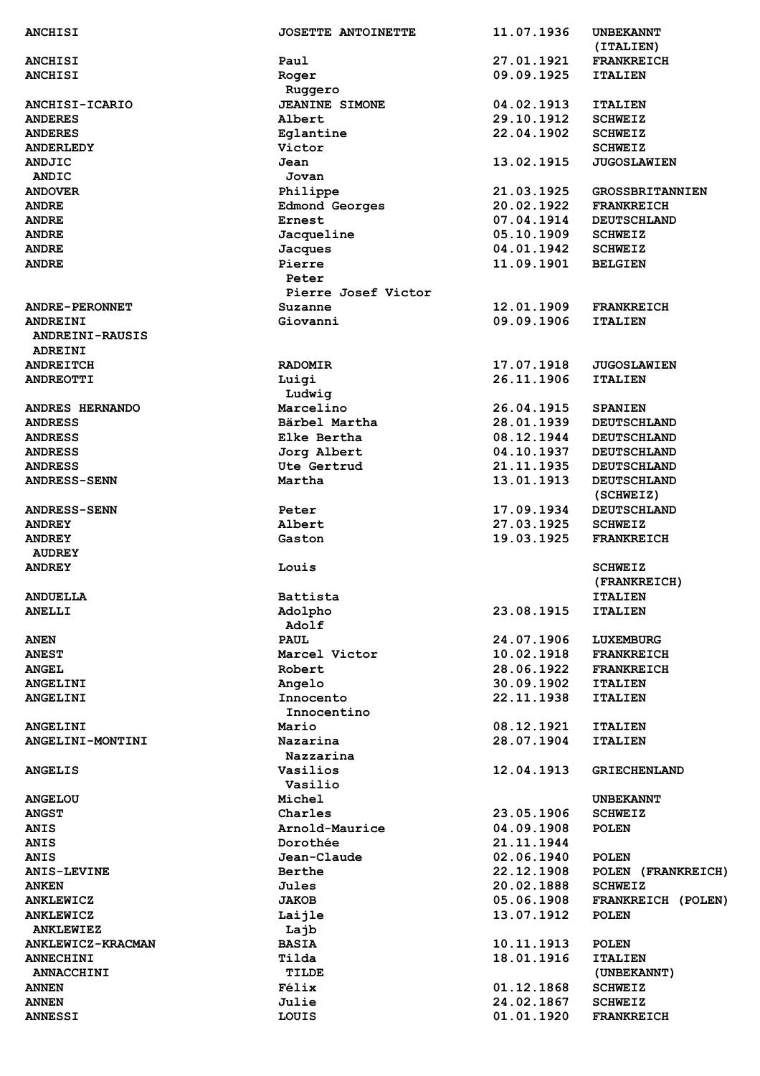| <b>ANCHISI</b>         | <b>JOSETTE ANTOINETTE</b> | 11.07.1936               | <b>UNBEKANNT</b>                |
|------------------------|---------------------------|--------------------------|---------------------------------|
|                        |                           |                          | (ITALIEN)                       |
| <b>ANCHISI</b>         | Paul                      | 27.01.1921               | <b>FRANKREICH</b>               |
| <b>ANCHISI</b>         | Roger                     | 09.09.1925               | <b>ITALIEN</b>                  |
|                        | Ruggero                   |                          |                                 |
| <b>ANCHISI-ICARIO</b>  | <b>JEANINE SIMONE</b>     | 04.02.1913               | <b>ITALIEN</b>                  |
| <b>ANDERES</b>         | Albert                    | 29.10.1912<br>22.04.1902 | <b>SCHWEIZ</b>                  |
| <b>ANDERES</b>         | Eglantine                 |                          | <b>SCHWEIZ</b>                  |
| <b>ANDERLEDY</b>       | Victor                    |                          | <b>SCHWEIZ</b>                  |
| <b>ANDJIC</b>          | Jean                      | 13.02.1915               | <b>JUGOSLAWIEN</b>              |
| ANDIC                  | Jovan                     |                          |                                 |
| <b>ANDOVER</b>         | Philippe                  | 21.03.1925               | <b>GROSSBRITANNIEN</b>          |
| <b>ANDRE</b>           | <b>Edmond Georges</b>     | 20.02.1922               | <b>FRANKREICH</b>               |
| <b>ANDRE</b>           | Ernest                    | 07.04.1914               | <b>DEUTSCHLAND</b>              |
| <b>ANDRE</b>           | Jacqueline                | 05.10.1909               | <b>SCHWEIZ</b>                  |
| <b>ANDRE</b>           | Jacques                   | 04.01.1942               | <b>SCHWEIZ</b>                  |
| <b>ANDRE</b>           | Pierre<br>Peter           | 11.09.1901               | <b>BELGIEN</b>                  |
|                        | Pierre Josef Victor       |                          |                                 |
| <b>ANDRE-PERONNET</b>  | Suzanne                   | 12.01.1909               | <b>FRANKREICH</b>               |
| <b>ANDREINI</b>        | Giovanni                  | 09.09.1906               | <b>ITALIEN</b>                  |
| <b>ANDREINI-RAUSIS</b> |                           |                          |                                 |
| <b>ADREINI</b>         |                           |                          |                                 |
| <b>ANDREITCH</b>       | <b>RADOMIR</b>            | 17.07.1918               | <b>JUGOSLAWIEN</b>              |
| <b>ANDREOTTI</b>       | Luigi                     | 26.11.1906               | <b>ITALIEN</b>                  |
|                        | Ludwig                    |                          |                                 |
| ANDRES HERNANDO        | Marcelino                 | 26.04.1915               | <b>SPANIEN</b>                  |
| <b>ANDRESS</b>         | Bärbel Martha             | 28.01.1939               | <b>DEUTSCHLAND</b>              |
| <b>ANDRESS</b>         | Elke Bertha               | 08.12.1944               | <b>DEUTSCHLAND</b>              |
| <b>ANDRESS</b>         | Jorg Albert               | 04.10.1937               | <b>DEUTSCHLAND</b>              |
| <b>ANDRESS</b>         | Ute Gertrud               | 21.11.1935               | <b>DEUTSCHLAND</b>              |
| <b>ANDRESS-SENN</b>    | Martha                    | 13.01.1913               | <b>DEUTSCHLAND</b><br>(SCHWEIZ) |
| <b>ANDRESS-SENN</b>    | Peter                     | 17.09.1934               | <b>DEUTSCHLAND</b>              |
| <b>ANDREY</b>          | Albert                    | 27.03.1925               | <b>SCHWEIZ</b>                  |
| <b>ANDREY</b>          | Gaston                    | 19.03.1925               | <b>FRANKREICH</b>               |
| <b>AUDREY</b>          |                           |                          |                                 |
| <b>ANDREY</b>          | Louis                     |                          | <b>SCHWEIZ</b>                  |
|                        |                           |                          | (FRANKREICH)                    |
| <b>ANDUELLA</b>        | Battista                  |                          | <b>ITALIEN</b>                  |
| <b>ANELLI</b>          | Adolpho                   | 23.08.1915               | <b>ITALIEN</b>                  |
|                        | Adolf                     |                          |                                 |
| <b>ANEN</b>            | <b>PAUL</b>               | 24.07.1906               | LUXEMBURG                       |
| <b>ANEST</b>           | Marcel Victor             | 10.02.1918               | <b>FRANKREICH</b>               |
| <b>ANGEL</b>           | Robert                    | 28.06.1922               | <b>FRANKREICH</b>               |
| <b>ANGELINI</b>        | Angelo                    | 30.09.1902               | <b>ITALIEN</b>                  |
| <b>ANGELINI</b>        | Innocento                 | 22.11.1938               | <b>ITALIEN</b>                  |
|                        | Innocentino               |                          |                                 |
| <b>ANGELINI</b>        | Mario                     | 08.12.1921               | <b>ITALIEN</b>                  |
| ANGELINI-MONTINI       | Nazarina                  | 28.07.1904               | <b>ITALIEN</b>                  |
|                        | Nazzarina                 |                          |                                 |
| <b>ANGELIS</b>         | Vasilios                  | 12.04.1913               | <b>GRIECHENLAND</b>             |
|                        | Vasilio                   |                          |                                 |
| <b>ANGELOU</b>         | Michel                    |                          | <b>UNBEKANNT</b>                |
| <b>ANGST</b>           | Charles                   | 23.05.1906               | <b>SCHWEIZ</b>                  |
| <b>ANIS</b>            | Arnold-Maurice            | 04.09.1908               | <b>POLEN</b>                    |
| <b>ANIS</b>            | Dorothée                  | 21.11.1944               |                                 |
| <b>ANIS</b>            | Jean-Claude               | 02.06.1940               | <b>POLEN</b>                    |
| <b>ANIS-LEVINE</b>     | Berthe                    | 22.12.1908               | POLEN (FRANKREICH)              |
| <b>ANKEN</b>           | Jules                     | 20.02.1888               | <b>SCHWEIZ</b>                  |
| <b>ANKLEWICZ</b>       | <b>JAKOB</b>              | 05.06.1908               | FRANKREICH (POLEN)              |
| <b>ANKLEWICZ</b>       | Laijle                    | 13.07.1912               | <b>POLEN</b>                    |
| <b>ANKLEWIEZ</b>       | Lajb                      |                          |                                 |
| ANKLEWICZ-KRACMAN      | <b>BASIA</b>              | 10.11.1913               | <b>POLEN</b>                    |
| ANNECHINI              | Tilda                     | 18.01.1916               | <b>ITALIEN</b>                  |
| <b>ANNACCHINI</b>      | TILDE                     |                          | (UNBEKANNT)                     |
| <b>ANNEN</b>           | Félix                     | 01.12.1868               | <b>SCHWEIZ</b>                  |
| <b>ANNEN</b>           | Julie                     | 24.02.1867               | <b>SCHWEIZ</b>                  |
| <b>ANNESSI</b>         | LOUIS                     | 01.01.1920               | <b>FRANKREICH</b>               |
|                        |                           |                          |                                 |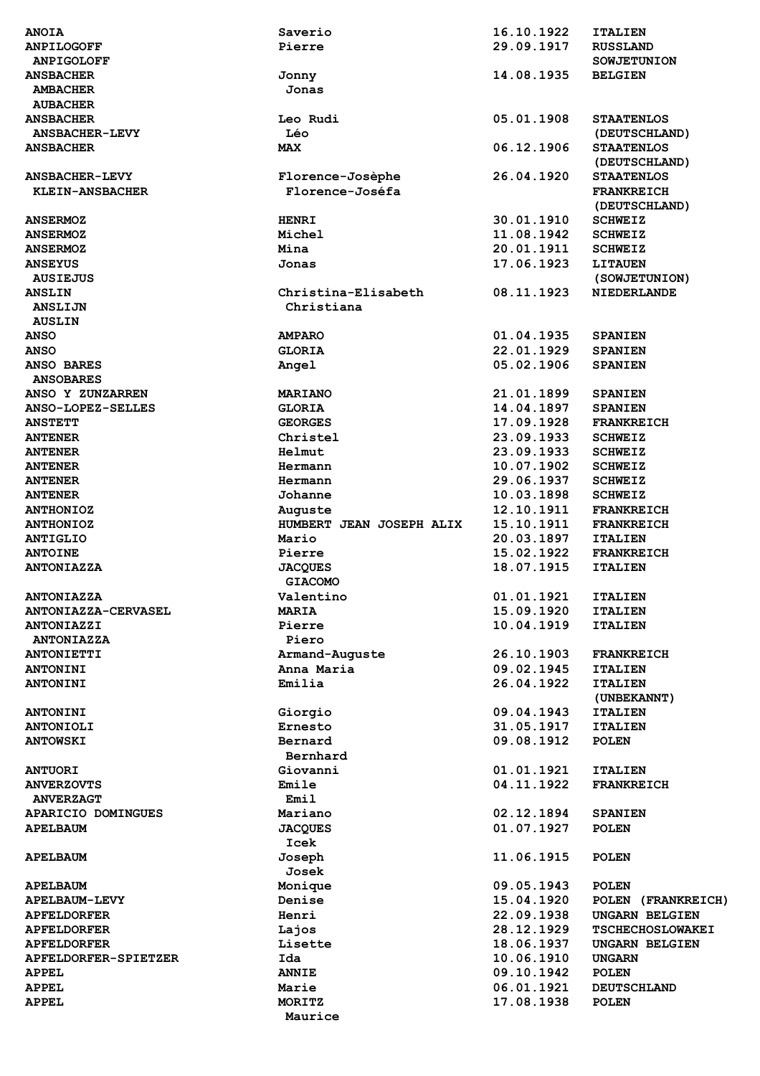| <b>ANOIA</b>                                      | Saverio                  | 16.10.1922               | <b>ITALIEN</b>                      |
|---------------------------------------------------|--------------------------|--------------------------|-------------------------------------|
| <b>ANPILOGOFF</b>                                 | Pierre                   | 29.09.1917               | <b>RUSSLAND</b>                     |
| <b>ANPIGOLOFF</b>                                 |                          |                          | <b>SOWJETUNION</b>                  |
| <b>ANSBACHER</b>                                  | Jonny                    | 14.08.1935               | <b>BELGIEN</b>                      |
| <b>AMBACHER</b>                                   | Jonas                    |                          |                                     |
| <b>AUBACHER</b>                                   |                          |                          |                                     |
| <b>ANSBACHER</b>                                  | Leo Rudi                 | 05.01.1908               | <b>STAATENLOS</b>                   |
| <b>ANSBACHER-LEVY</b>                             | Léo                      |                          | (DEUTSCHLAND)                       |
| <b>ANSBACHER</b>                                  | <b>MAX</b>               | 06.12.1906               | <b>STAATENLOS</b>                   |
|                                                   |                          |                          | (DEUTSCHLAND)                       |
| <b>ANSBACHER-LEVY</b>                             | Florence-Josèphe         | 26.04.1920               | <b>STAATENLOS</b>                   |
| KLEIN-ANSBACHER                                   | Florence-Joséfa          |                          | <b>FRANKREICH</b>                   |
|                                                   |                          |                          | (DEUTSCHLAND)                       |
| <b>ANSERMOZ</b>                                   | <b>HENRI</b>             | 30.01.1910               | <b>SCHWEIZ</b>                      |
| <b>ANSERMOZ</b>                                   | Michel                   | 11.08.1942               | <b>SCHWEIZ</b>                      |
| <b>ANSERMOZ</b>                                   | Mina                     | 20.01.1911               | <b>SCHWEIZ</b>                      |
| <b>ANSEYUS</b>                                    | Jonas                    | 17.06.1923               | <b>LITAUEN</b>                      |
| <b>AUSIEJUS</b><br><b>ANSLIN</b>                  | Christina-Elisabeth      | 08.11.1923               | (SOWJETUNION)<br><b>NIEDERLANDE</b> |
| <b>ANSLIJN</b>                                    | Christiana               |                          |                                     |
| <b>AUSLIN</b>                                     |                          |                          |                                     |
| <b>ANSO</b>                                       | <b>AMPARO</b>            | 01.04.1935               | <b>SPANIEN</b>                      |
| <b>ANSO</b>                                       | <b>GLORIA</b>            | 22.01.1929               | <b>SPANIEN</b>                      |
| <b>ANSO BARES</b>                                 | Angel                    | 05.02.1906               | <b>SPANIEN</b>                      |
| <b>ANSOBARES</b>                                  |                          |                          |                                     |
| ANSO Y ZUNZARREN                                  | <b>MARIANO</b>           | 21.01.1899               | <b>SPANIEN</b>                      |
| <b>ANSO-LOPEZ-SELLES</b>                          | <b>GLORIA</b>            | 14.04.1897               | <b>SPANIEN</b>                      |
| <b>ANSTETT</b>                                    | <b>GEORGES</b>           | 17.09.1928               | <b>FRANKREICH</b>                   |
| <b>ANTENER</b>                                    | Christel                 | 23.09.1933               | <b>SCHWEIZ</b>                      |
| <b>ANTENER</b>                                    | Helmut                   | 23.09.1933               | <b>SCHWEIZ</b>                      |
| <b>ANTENER</b>                                    | Hermann                  | 10.07.1902               | <b>SCHWEIZ</b>                      |
| <b>ANTENER</b>                                    | Hermann                  | 29.06.1937               | <b>SCHWEIZ</b>                      |
| <b>ANTENER</b>                                    | Johanne                  | 10.03.1898               | <b>SCHWEIZ</b>                      |
| <b>ANTHONIOZ</b>                                  | Auguste                  | 12.10.1911               | <b>FRANKREICH</b>                   |
| <b>ANTHONIOZ</b>                                  | HUMBERT JEAN JOSEPH ALIX | 15.10.1911               | <b>FRANKREICH</b>                   |
| <b>ANTIGLIO</b>                                   | Mario                    | 20.03.1897               | <b>ITALIEN</b>                      |
| <b>ANTOINE</b>                                    | Pierre                   | 15.02.1922               | <b>FRANKREICH</b>                   |
| <b>ANTONIAZZA</b>                                 | <b>JACQUES</b>           | 18.07.1915               | <b>ITALIEN</b>                      |
|                                                   | <b>GIACOMO</b>           |                          |                                     |
| <b>ANTONIAZZA</b>                                 | Valentino                | 01.01.1921               | <b>ITALIEN</b>                      |
| <b>ANTONIAZZA-CERVASEL</b>                        | <b>MARIA</b>             | 15.09.1920               | <b>ITALIEN</b>                      |
| <b>ANTONIAZZI</b><br><b>ANTONIAZZA</b>            | Pierre<br>Piero          | 10.04.1919               | <b>ITALIEN</b>                      |
| <b>ANTONIETTI</b>                                 | Armand-Auguste           | 26.10.1903               | <b>FRANKREICH</b>                   |
| <b>ANTONINI</b>                                   | Anna Maria               | 09.02.1945               | <b>ITALIEN</b>                      |
| <b>ANTONINI</b>                                   | Emilia                   | 26.04.1922               | <b>ITALIEN</b>                      |
|                                                   |                          |                          | (UNBEKANNT)                         |
| <b>ANTONINI</b>                                   | Giorgio                  | 09.04.1943               | <b>ITALIEN</b>                      |
| <b>ANTONIOLI</b>                                  | Ernesto                  | 31.05.1917               | <b>ITALIEN</b>                      |
| <b>ANTOWSKI</b>                                   | Bernard                  | 09.08.1912               | <b>POLEN</b>                        |
|                                                   | Bernhard                 |                          |                                     |
| <b>ANTUORI</b>                                    | Giovanni                 | 01.01.1921               | <b>ITALIEN</b>                      |
| <b>ANVERZOVTS</b>                                 | Emile                    | 04.11.1922               | <b>FRANKREICH</b>                   |
| <b>ANVERZAGT</b>                                  | Emil                     |                          |                                     |
| APARICIO DOMINGUES                                | Mariano                  | 02.12.1894               | <b>SPANIEN</b>                      |
| <b>APELBAUM</b>                                   | <b>JACQUES</b>           | 01.07.1927               | <b>POLEN</b>                        |
|                                                   | Icek                     |                          |                                     |
| <b>APELBAUM</b>                                   | Joseph                   | 11.06.1915               | <b>POLEN</b>                        |
|                                                   | Josek                    |                          |                                     |
| <b>APELBAUM</b>                                   | Monique                  | 09.05.1943               | <b>POLEN</b>                        |
| <b>APELBAUM-LEVY</b>                              | Denise                   | 15.04.1920               | POLEN (FRANKREICH)                  |
| <b>APFELDORFER</b>                                | Henri                    | 22.09.1938               | <b>UNGARN BELGIEN</b>               |
| <b>APFELDORFER</b>                                | Lajos                    | 28.12.1929               | <b>TSCHECHOSLOWAKEI</b>             |
| <b>APFELDORFER</b><br><b>APFELDORFER-SPIETZER</b> | Lisette<br>Ida           | 18.06.1937<br>10.06.1910 | <b>UNGARN BELGIEN</b>               |
| <b>APPEL</b>                                      | <b>ANNIE</b>             | 09.10.1942               | <b>UNGARN</b><br><b>POLEN</b>       |
| <b>APPEL</b>                                      | Marie                    | 06.01.1921               | <b>DEUTSCHLAND</b>                  |
| <b>APPEL</b>                                      | MORITZ                   | 17.08.1938               | <b>POLEN</b>                        |
|                                                   | Maurice                  |                          |                                     |
|                                                   |                          |                          |                                     |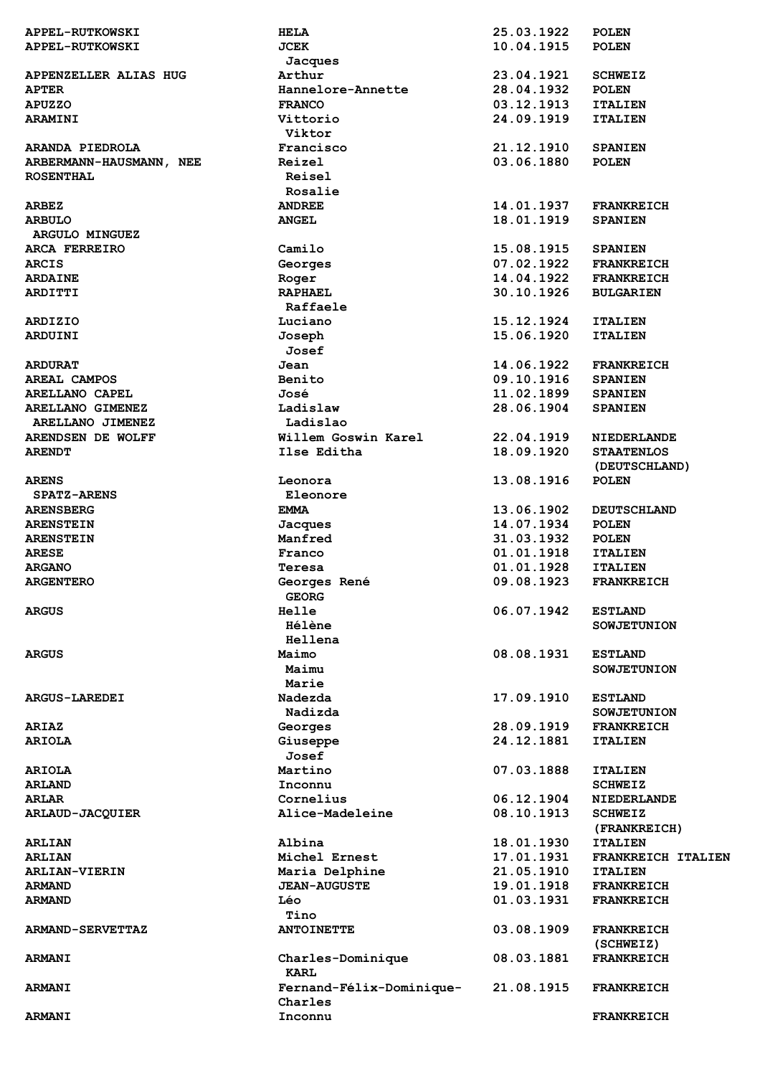| <b>APPEL-RUTKOWSKI</b>  | <b>HELA</b>              | 25.03.1922 | <b>POLEN</b>       |
|-------------------------|--------------------------|------------|--------------------|
| <b>APPEL-RUTKOWSKI</b>  | JCEK                     | 10.04.1915 | <b>POLEN</b>       |
|                         | Jacques                  |            |                    |
| APPENZELLER ALIAS HUG   | Arthur                   | 23.04.1921 | <b>SCHWEIZ</b>     |
| <b>APTER</b>            | Hannelore-Annette        | 28.04.1932 | <b>POLEN</b>       |
| <b>APUZZO</b>           | <b>FRANCO</b>            | 03.12.1913 | <b>ITALIEN</b>     |
| <b>ARAMINI</b>          | Vittorio                 | 24.09.1919 | <b>ITALIEN</b>     |
|                         | Viktor                   |            |                    |
| ARANDA PIEDROLA         | Francisco                | 21.12.1910 | <b>SPANIEN</b>     |
| ARBERMANN-HAUSMANN, NEE | Reizel                   | 03.06.1880 | <b>POLEN</b>       |
| <b>ROSENTHAL</b>        | Reisel                   |            |                    |
|                         | Rosalie                  |            |                    |
| <b>ARBEZ</b>            | <b>ANDREE</b>            | 14.01.1937 | <b>FRANKREICH</b>  |
| <b>ARBULO</b>           | <b>ANGEL</b>             | 18.01.1919 | <b>SPANIEN</b>     |
| <b>ARGULO MINGUEZ</b>   |                          |            |                    |
| ARCA FERREIRO           | Camilo                   | 15.08.1915 | <b>SPANIEN</b>     |
| <b>ARCIS</b>            | Georges                  | 07.02.1922 | <b>FRANKREICH</b>  |
| <b>ARDAINE</b>          | Roger                    | 14.04.1922 | <b>FRANKREICH</b>  |
| <b>ARDITTI</b>          | <b>RAPHAEL</b>           | 30.10.1926 | <b>BULGARIEN</b>   |
|                         | Raffaele                 |            |                    |
| <b>ARDIZIO</b>          | Luciano                  | 15.12.1924 | <b>ITALIEN</b>     |
| ARDUINI                 | Joseph                   | 15.06.1920 | <b>ITALIEN</b>     |
|                         | Josef                    |            |                    |
| <b>ARDURAT</b>          | Jean                     | 14.06.1922 | <b>FRANKREICH</b>  |
| AREAL CAMPOS            | Benito                   | 09.10.1916 | <b>SPANIEN</b>     |
| <b>ARELLANO CAPEL</b>   | José                     | 11.02.1899 | <b>SPANIEN</b>     |
| ARELLANO GIMENEZ        | Ladislaw                 | 28.06.1904 | <b>SPANIEN</b>     |
| ARELLANO JIMENEZ        | Ladislao                 |            |                    |
| ARENDSEN DE WOLFF       | Willem Goswin Karel      | 22.04.1919 | <b>NIEDERLANDE</b> |
| <b>ARENDT</b>           | Ilse Editha              | 18.09.1920 | <b>STAATENLOS</b>  |
|                         |                          |            | (DEUTSCHLAND)      |
| <b>ARENS</b>            | Leonora                  | 13.08.1916 | <b>POLEN</b>       |
| <b>SPATZ-ARENS</b>      | Eleonore                 |            |                    |
|                         |                          | 13.06.1902 |                    |
| <b>ARENSBERG</b>        | EMMA                     | 14.07.1934 | <b>DEUTSCHLAND</b> |
| <b>ARENSTEIN</b>        | Jacques                  |            | <b>POLEN</b>       |
| <b>ARENSTEIN</b>        | Manfred                  | 31.03.1932 | <b>POLEN</b>       |
| <b>ARESE</b>            | Franco                   | 01.01.1918 | <b>ITALIEN</b>     |
| <b>ARGANO</b>           | Teresa                   | 01.01.1928 | <b>ITALIEN</b>     |
| <b>ARGENTERO</b>        | Georges René             | 09.08.1923 | <b>FRANKREICH</b>  |
|                         | <b>GEORG</b>             |            |                    |
| <b>ARGUS</b>            | <b>Helle</b><br>Hélène   | 06.07.1942 | <b>ESTLAND</b>     |
|                         |                          |            | <b>SOWJETUNION</b> |
|                         | Hellena                  |            |                    |
| <b>ARGUS</b>            | Maimo                    | 08.08.1931 | <b>ESTLAND</b>     |
|                         | Maimu                    |            | <b>SOWJETUNION</b> |
|                         | Marie                    |            |                    |
| <b>ARGUS-LAREDEI</b>    | Nadezda                  | 17.09.1910 | <b>ESTLAND</b>     |
|                         | Nadizda                  |            | <b>SOWJETUNION</b> |
| <b>ARIAZ</b>            | Georges                  | 28.09.1919 | <b>FRANKREICH</b>  |
| <b>ARIOLA</b>           | Giuseppe                 | 24.12.1881 | <b>ITALIEN</b>     |
|                         | Josef                    |            |                    |
| <b>ARIOLA</b>           | Martino                  | 07.03.1888 | <b>ITALIEN</b>     |
| <b>ARLAND</b>           | Inconnu                  |            | <b>SCHWEIZ</b>     |
| <b>ARLAR</b>            | Cornelius                | 06.12.1904 | <b>NIEDERLANDE</b> |
| ARLAUD-JACQUIER         | Alice-Madeleine          | 08.10.1913 | <b>SCHWEIZ</b>     |
|                         |                          |            | (FRANKREICH)       |
| <b>ARLIAN</b>           | Albina                   | 18.01.1930 | <b>ITALIEN</b>     |
| <b>ARLIAN</b>           | Michel Ernest            | 17.01.1931 | FRANKREICH ITALIEN |
| <b>ARLIAN-VIERIN</b>    | Maria Delphine           | 21.05.1910 | <b>ITALIEN</b>     |
| <b>ARMAND</b>           | <b>JEAN-AUGUSTE</b>      | 19.01.1918 | <b>FRANKREICH</b>  |
| <b>ARMAND</b>           | Léo                      | 01.03.1931 | <b>FRANKREICH</b>  |
|                         | Tino                     |            |                    |
| <b>ARMAND-SERVETTAZ</b> | <b>ANTOINETTE</b>        | 03.08.1909 | <b>FRANKREICH</b>  |
|                         |                          |            | (SCHWEIZ)          |
| <b>ARMANI</b>           | Charles-Dominique        | 08.03.1881 | <b>FRANKREICH</b>  |
|                         | <b>KARL</b>              |            |                    |
| <b>ARMANI</b>           | Fernand-Félix-Dominique- | 21.08.1915 | <b>FRANKREICH</b>  |
|                         | Charles                  |            |                    |
| <b>ARMANI</b>           | Inconnu                  |            | <b>FRANKREICH</b>  |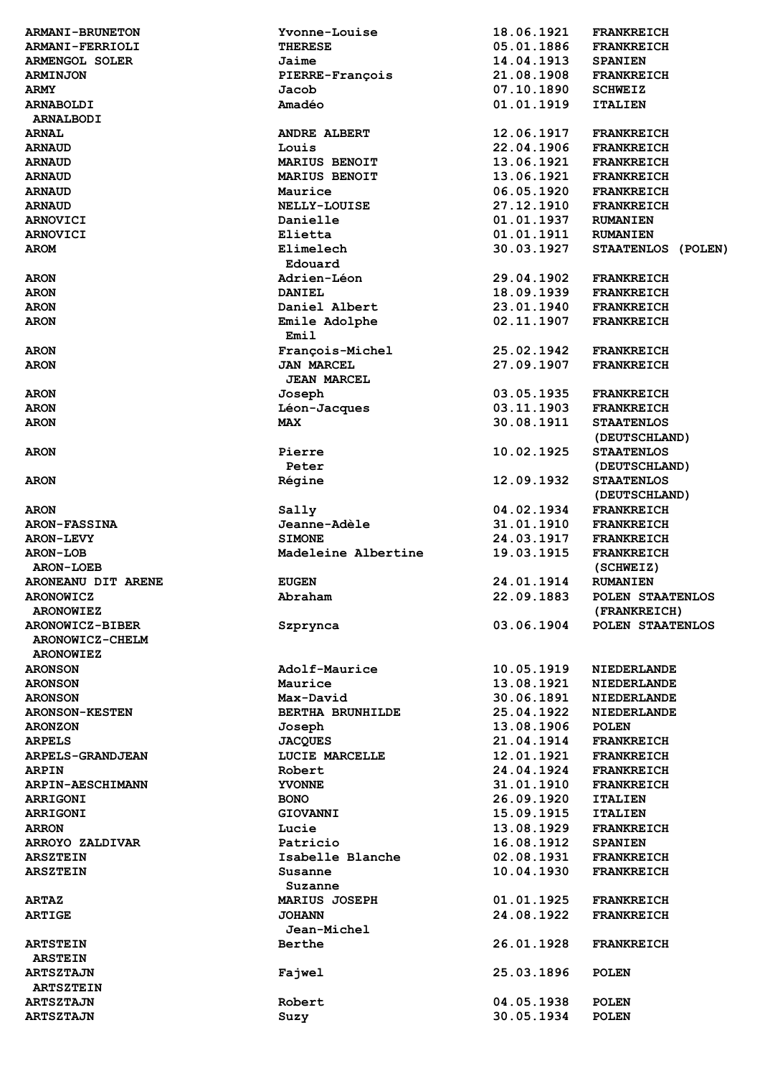| <b>ARMANI-BRUNETON</b>               | Yvonne-Louise                           | 18.06.1921               | <b>FRANKREICH</b>                  |
|--------------------------------------|-----------------------------------------|--------------------------|------------------------------------|
| <b>ARMANI-FERRIOLI</b>               | <b>THERESE</b>                          | 05.01.1886               | <b>FRANKREICH</b>                  |
| <b>ARMENGOL SOLER</b>                | Jaime                                   | 14.04.1913               | <b>SPANIEN</b>                     |
| <b>ARMINJON</b>                      | PIERRE-François                         | 21.08.1908               | <b>FRANKREICH</b>                  |
| <b>ARMY</b>                          | Jacob                                   | 07.10.1890               | <b>SCHWEIZ</b>                     |
| <b>ARNABOLDI</b><br><b>ARNALBODI</b> | Amadéo                                  | 01.01.1919               | <b>ITALIEN</b>                     |
| <b>ARNAL</b>                         | <b>ANDRE ALBERT</b>                     | 12.06.1917               | <b>FRANKREICH</b>                  |
| <b>ARNAUD</b>                        | Louis                                   | 22.04.1906               | <b>FRANKREICH</b>                  |
| <b>ARNAUD</b>                        | <b>MARIUS BENOIT</b>                    | 13.06.1921               | <b>FRANKREICH</b>                  |
| <b>ARNAUD</b>                        | MARIUS BENOIT                           | 13.06.1921               | <b>FRANKREICH</b>                  |
| <b>ARNAUD</b>                        | Maurice                                 | 06.05.1920               | <b>FRANKREICH</b>                  |
| <b>ARNAUD</b>                        | <b>NELLY-LOUISE</b>                     | 27.12.1910               | <b>FRANKREICH</b>                  |
| <b>ARNOVICI</b>                      | Danielle                                | 01.01.1937               | <b>RUMANIEN</b>                    |
| <b>ARNOVICI</b>                      | Elietta                                 | 01.01.1911               | <b>RUMANIEN</b>                    |
| <b>AROM</b>                          | Elimelech                               | 30.03.1927               | STAATENLOS (POLEN)                 |
|                                      | Edouard                                 |                          |                                    |
| <b>ARON</b>                          | Adrien-Léon                             | 29.04.1902               | <b>FRANKREICH</b>                  |
| <b>ARON</b>                          | <b>DANIEL</b>                           | 18.09.1939               | <b>FRANKREICH</b>                  |
| <b>ARON</b>                          | Daniel Albert                           | 23.01.1940               | <b>FRANKREICH</b>                  |
| <b>ARON</b>                          | Emile Adolphe<br>Emil                   | 02.11.1907               | <b>FRANKREICH</b>                  |
| <b>ARON</b>                          | François-Michel                         | 25.02.1942               | <b>FRANKREICH</b>                  |
| <b>ARON</b>                          | <b>JAN MARCEL</b><br><b>JEAN MARCEL</b> | 27.09.1907               | <b>FRANKREICH</b>                  |
| <b>ARON</b>                          | Joseph                                  | 03.05.1935               | <b>FRANKREICH</b>                  |
| <b>ARON</b>                          | Léon-Jacques                            | 03.11.1903               | <b>FRANKREICH</b>                  |
| <b>ARON</b>                          | <b>MAX</b>                              | 30.08.1911               | <b>STAATENLOS</b>                  |
|                                      |                                         |                          | (DEUTSCHLAND)                      |
| <b>ARON</b>                          | Pierre                                  | 10.02.1925               | <b>STAATENLOS</b>                  |
|                                      | Peter                                   |                          | (DEUTSCHLAND)                      |
| <b>ARON</b>                          | Régine                                  | 12.09.1932               | <b>STAATENLOS</b><br>(DEUTSCHLAND) |
| <b>ARON</b>                          | Sally                                   | 04.02.1934               | <b>FRANKREICH</b>                  |
| <b>ARON-FASSINA</b>                  | Jeanne-Adèle                            | 31.01.1910               | <b>FRANKREICH</b>                  |
| <b>ARON-LEVY</b>                     | <b>SIMONE</b>                           | 24.03.1917               | <b>FRANKREICH</b>                  |
|                                      |                                         |                          |                                    |
| <b>ARON-LOB</b>                      | Madeleine Albertine                     |                          | <b>FRANKREICH</b>                  |
| <b>ARON-LOEB</b>                     |                                         | 19.03.1915               |                                    |
| ARONEANU DIT ARENE                   | <b>EUGEN</b>                            | 24.01.1914               | (SCHWEIZ)<br><b>RUMANIEN</b>       |
| <b>ARONOWICZ</b>                     | Abraham                                 | 22.09.1883               | POLEN STAATENLOS                   |
| <b>ARONOWIEZ</b>                     |                                         |                          | (FRANKREICH)                       |
| <b>ARONOWICZ-BIBER</b>               |                                         | 03.06.1904               | POLEN STAATENLOS                   |
| ARONOWICZ-CHELM                      | Szprynca                                |                          |                                    |
| <b>ARONOWIEZ</b>                     |                                         |                          |                                    |
| <b>ARONSON</b>                       | Adolf-Maurice                           | 10.05.1919               | <b>NIEDERLANDE</b>                 |
| <b>ARONSON</b>                       | Maurice                                 | 13.08.1921               | <b>NIEDERLANDE</b>                 |
| <b>ARONSON</b>                       | Max-David                               | 30.06.1891               | <b>NIEDERLANDE</b>                 |
| <b>ARONSON-KESTEN</b>                | <b>BERTHA BRUNHILDE</b>                 | 25.04.1922               | <b>NIEDERLANDE</b>                 |
| <b>ARONZON</b>                       | Joseph                                  | 13.08.1906               | <b>POLEN</b>                       |
| <b>ARPELS</b>                        | <b>JACQUES</b>                          | 21.04.1914               | <b>FRANKREICH</b>                  |
| <b>ARPELS-GRANDJEAN</b>              | LUCIE MARCELLE                          | 12.01.1921               | <b>FRANKREICH</b>                  |
| <b>ARPIN</b>                         | Robert                                  | 24.04.1924               | <b>FRANKREICH</b>                  |
| <b>ARPIN-AESCHIMANN</b>              | <b>YVONNE</b>                           | 31.01.1910               | <b>FRANKREICH</b>                  |
| <b>ARRIGONI</b>                      | <b>BONO</b>                             | 26.09.1920               | <b>ITALIEN</b>                     |
| <b>ARRIGONI</b>                      | <b>GIOVANNI</b>                         | 15.09.1915               | <b>ITALIEN</b>                     |
| <b>ARRON</b>                         | Lucie                                   | 13.08.1929               | <b>FRANKREICH</b>                  |
| ARROYO ZALDIVAR                      | Patricio                                | 16.08.1912               | <b>SPANIEN</b>                     |
| <b>ARSZTEIN</b>                      | Isabelle Blanche                        | 02.08.1931               | <b>FRANKREICH</b>                  |
| <b>ARSZTEIN</b>                      | Susanne                                 | 10.04.1930               | <b>FRANKREICH</b>                  |
|                                      | Suzanne                                 |                          |                                    |
| <b>ARTAZ</b>                         | MARIUS JOSEPH                           | 01.01.1925               | <b>FRANKREICH</b>                  |
| <b>ARTIGE</b>                        | <b>JOHANN</b>                           | 24.08.1922               | <b>FRANKREICH</b>                  |
|                                      | Jean-Michel                             |                          |                                    |
| <b>ARTSTEIN</b>                      | Berthe                                  | 26.01.1928               | <b>FRANKREICH</b>                  |
| <b>ARSTEIN</b>                       |                                         |                          |                                    |
| <b>ARTSZTAJN</b>                     | Fajwel                                  | 25.03.1896               | <b>POLEN</b>                       |
| <b>ARTSZTEIN</b>                     |                                         |                          |                                    |
| <b>ARTSZTAJN</b><br><b>ARTSZTAJN</b> | Robert<br>Suzy                          | 04.05.1938<br>30.05.1934 | <b>POLEN</b><br><b>POLEN</b>       |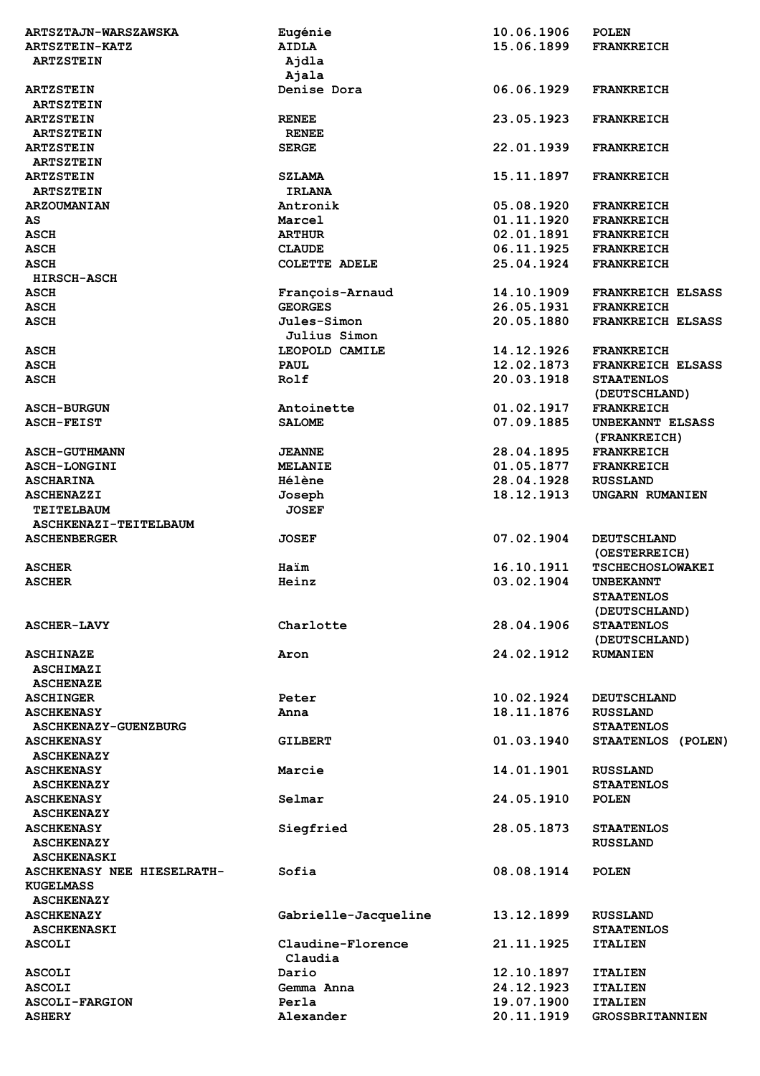| <b>ARTSZTAJN-WARSZAWSKA</b>            | Eugénie              | 10.06.1906               | <b>POLEN</b>                             |
|----------------------------------------|----------------------|--------------------------|------------------------------------------|
| ARTSZTEIN-KATZ                         | <b>AIDLA</b>         | 15.06.1899               | <b>FRANKREICH</b>                        |
| <b>ARTZSTEIN</b>                       | Ajdla                |                          |                                          |
|                                        | Ajala                |                          |                                          |
| <b>ARTZSTEIN</b>                       | Denise Dora          | 06.06.1929               | <b>FRANKREICH</b>                        |
| <b>ARTSZTEIN</b>                       |                      |                          |                                          |
|                                        |                      | 23.05.1923               | <b>FRANKREICH</b>                        |
| <b>ARTZSTEIN</b>                       | <b>RENEE</b>         |                          |                                          |
| <b>ARTSZTEIN</b>                       | <b>RENEE</b>         |                          |                                          |
| <b>ARTZSTEIN</b>                       | <b>SERGE</b>         | 22.01.1939               | <b>FRANKREICH</b>                        |
| <b>ARTSZTEIN</b>                       |                      |                          |                                          |
| <b>ARTZSTEIN</b>                       | <b>SZLAMA</b>        | 15.11.1897               | <b>FRANKREICH</b>                        |
| <b>ARTSZTEIN</b>                       | <b>IRLANA</b>        |                          |                                          |
| <b>ARZOUMANIAN</b>                     | Antronik             | 05.08.1920               | <b>FRANKREICH</b>                        |
| AS                                     | Marcel               | 01.11.1920               | <b>FRANKREICH</b>                        |
| <b>ASCH</b>                            | <b>ARTHUR</b>        | 02.01.1891               | <b>FRANKREICH</b>                        |
| <b>ASCH</b>                            | <b>CLAUDE</b>        | 06.11.1925               | <b>FRANKREICH</b>                        |
| <b>ASCH</b>                            | <b>COLETTE ADELE</b> | 25.04.1924               | <b>FRANKREICH</b>                        |
| <b>HIRSCH-ASCH</b>                     |                      |                          |                                          |
|                                        |                      |                          |                                          |
| <b>ASCH</b>                            | François-Arnaud      | 14.10.1909               | <b>FRANKREICH ELSASS</b>                 |
| <b>ASCH</b>                            | <b>GEORGES</b>       | 26.05.1931               | <b>FRANKREICH</b>                        |
| <b>ASCH</b>                            | Jules-Simon          | 20.05.1880               | <b>FRANKREICH ELSASS</b>                 |
|                                        | <b>Julius Simon</b>  |                          |                                          |
| <b>ASCH</b>                            | LEOPOLD CAMILE       | 14.12.1926               | <b>FRANKREICH</b>                        |
| <b>ASCH</b>                            | <b>PAUL</b>          | 12.02.1873               | <b>FRANKREICH ELSASS</b>                 |
| <b>ASCH</b>                            | Rolf                 | 20.03.1918               | <b>STAATENLOS</b>                        |
|                                        |                      |                          | (DEUTSCHLAND)                            |
| <b>ASCH-BURGUN</b>                     | Antoinette           | 01.02.1917               | <b>FRANKREICH</b>                        |
| <b>ASCH-FEIST</b>                      | <b>SALOME</b>        | 07.09.1885               | UNBEKANNT ELSASS                         |
|                                        |                      |                          | (FRANKREICH)                             |
| <b>ASCH-GUTHMANN</b>                   | <b>JEANNE</b>        | 28.04.1895               | <b>FRANKREICH</b>                        |
|                                        |                      | 01.05.1877               |                                          |
| <b>ASCH-LONGINI</b>                    | <b>MELANIE</b>       |                          | <b>FRANKREICH</b>                        |
| <b>ASCHARINA</b>                       | Hélène               | 28.04.1928               | <b>RUSSLAND</b>                          |
| <b>ASCHENAZZI</b>                      | Joseph               | 18.12.1913               | UNGARN RUMANIEN                          |
| <b>TEITELBAUM</b>                      | <b>JOSEF</b>         |                          |                                          |
| ASCHKENAZI-TEITELBAUM                  |                      |                          |                                          |
|                                        |                      |                          |                                          |
| <b>ASCHENBERGER</b>                    | <b>JOSEF</b>         | 07.02.1904               | <b>DEUTSCHLAND</b>                       |
|                                        |                      |                          | (OESTERREICH)                            |
| <b>ASCHER</b>                          | Haim                 | 16.10.1911               | <b>TSCHECHOSLOWAKEI</b>                  |
|                                        |                      |                          |                                          |
| <b>ASCHER</b>                          | Heinz                | 03.02.1904               | <b>UNBEKANNT</b>                         |
|                                        |                      |                          | <b>STAATENLOS</b>                        |
|                                        |                      |                          | (DEUTSCHLAND)                            |
| <b>ASCHER-LAVY</b>                     | Charlotte            | 28.04.1906               | <b>STAATENLOS</b>                        |
|                                        |                      |                          | (DEUTSCHLAND)                            |
| <b>ASCHINAZE</b>                       | Aron                 | 24.02.1912               | <b>RUMANIEN</b>                          |
| <b>ASCHIMAZI</b>                       |                      |                          |                                          |
| <b>ASCHENAZE</b>                       |                      |                          |                                          |
| <b>ASCHINGER</b>                       | Peter                | 10.02.1924               | <b>DEUTSCHLAND</b>                       |
| <b>ASCHKENASY</b>                      | Anna                 | 18.11.1876               | <b>RUSSLAND</b>                          |
| ASCHKENAZY-GUENZBURG                   |                      |                          | <b>STAATENLOS</b>                        |
| <b>ASCHKENASY</b>                      | <b>GILBERT</b>       | 01.03.1940               | STAATENLOS (POLEN)                       |
| <b>ASCHKENAZY</b>                      |                      |                          |                                          |
|                                        |                      |                          |                                          |
| <b>ASCHKENASY</b>                      | Marcie               | 14.01.1901               | <b>RUSSLAND</b>                          |
| <b>ASCHKENAZY</b>                      |                      |                          | <b>STAATENLOS</b>                        |
| <b>ASCHKENASY</b>                      | Selmar               | 24.05.1910               | <b>POLEN</b>                             |
| <b>ASCHKENAZY</b>                      |                      |                          |                                          |
| <b>ASCHKENASY</b>                      | Siegfried            | 28.05.1873               | <b>STAATENLOS</b>                        |
| <b>ASCHKENAZY</b>                      |                      |                          | <b>RUSSLAND</b>                          |
| <b>ASCHKENASKI</b>                     |                      |                          |                                          |
| ASCHKENASY NEE HIESELRATH-             | Sofia                | 08.08.1914               | <b>POLEN</b>                             |
| <b>KUGELMASS</b>                       |                      |                          |                                          |
| <b>ASCHKENAZY</b>                      |                      |                          |                                          |
| <b>ASCHKENAZY</b>                      | Gabrielle-Jacqueline | 13.12.1899               | <b>RUSSLAND</b>                          |
| <b>ASCHKENASKI</b>                     |                      |                          | <b>STAATENLOS</b>                        |
| <b>ASCOLI</b>                          | Claudine-Florence    | 21.11.1925               | <b>ITALIEN</b>                           |
|                                        |                      |                          |                                          |
|                                        | Claudia              |                          |                                          |
| <b>ASCOLI</b>                          | Dario                | 12.10.1897               | <b>ITALIEN</b>                           |
| <b>ASCOLI</b>                          | Gemma Anna           | 24.12.1923               | <b>ITALIEN</b>                           |
| <b>ASCOLI-FARGION</b><br><b>ASHERY</b> | Perla<br>Alexander   | 19.07.1900<br>20.11.1919 | <b>ITALIEN</b><br><b>GROSSBRITANNIEN</b> |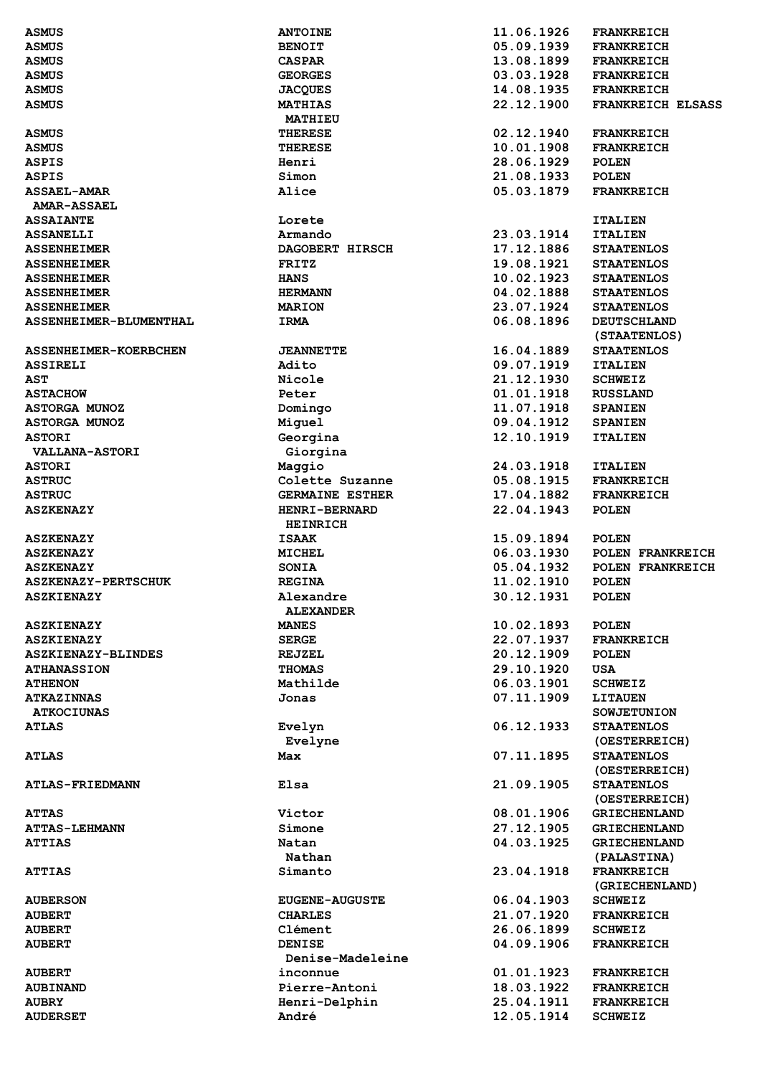| <b>ASMUS</b>               | <b>ANTOINE</b>         | 11.06.1926 | <b>FRANKREICH</b>        |
|----------------------------|------------------------|------------|--------------------------|
| <b>ASMUS</b>               | <b>BENOIT</b>          | 05.09.1939 | <b>FRANKREICH</b>        |
| <b>ASMUS</b>               | <b>CASPAR</b>          | 13.08.1899 | <b>FRANKREICH</b>        |
| <b>ASMUS</b>               | <b>GEORGES</b>         | 03.03.1928 | <b>FRANKREICH</b>        |
| <b>ASMUS</b>               | <b>JACQUES</b>         | 14.08.1935 | <b>FRANKREICH</b>        |
| <b>ASMUS</b>               | <b>MATHIAS</b>         | 22.12.1900 | <b>FRANKREICH ELSASS</b> |
|                            | MATHIEU                |            |                          |
| <b>ASMUS</b>               | <b>THERESE</b>         | 02.12.1940 | <b>FRANKREICH</b>        |
|                            |                        | 10.01.1908 |                          |
| <b>ASMUS</b>               | <b>THERESE</b>         |            | <b>FRANKREICH</b>        |
| <b>ASPIS</b>               | Henri                  | 28.06.1929 | <b>POLEN</b>             |
| <b>ASPIS</b>               | Simon                  | 21.08.1933 | <b>POLEN</b>             |
| <b>ASSAEL-AMAR</b>         | Alice                  | 05.03.1879 | <b>FRANKREICH</b>        |
| <b>AMAR-ASSAEL</b>         |                        |            |                          |
| <b>ASSAIANTE</b>           | Lorete                 |            | <b>ITALIEN</b>           |
| <b>ASSANELLI</b>           | Armando                | 23.03.1914 | <b>ITALIEN</b>           |
| <b>ASSENHEIMER</b>         | DAGOBERT HIRSCH        | 17.12.1886 | <b>STAATENLOS</b>        |
| <b>ASSENHEIMER</b>         | <b>FRITZ</b>           | 19.08.1921 | <b>STAATENLOS</b>        |
| <b>ASSENHEIMER</b>         | <b>HANS</b>            | 10.02.1923 | <b>STAATENLOS</b>        |
| <b>ASSENHEIMER</b>         | <b>HERMANN</b>         | 04.02.1888 | <b>STAATENLOS</b>        |
| <b>ASSENHEIMER</b>         | <b>MARION</b>          | 23.07.1924 | <b>STAATENLOS</b>        |
| ASSENHEIMER-BLUMENTHAL     | IRMA                   | 06.08.1896 | <b>DEUTSCHLAND</b>       |
|                            |                        |            | (STAATENLOS)             |
| ASSENHEIMER-KOERBCHEN      | <b>JEANNETTE</b>       | 16.04.1889 | <b>STAATENLOS</b>        |
| <b>ASSIRELI</b>            | Adito                  | 09.07.1919 | <b>ITALIEN</b>           |
| <b>AST</b>                 | Nicole                 | 21.12.1930 | <b>SCHWEIZ</b>           |
| <b>ASTACHOW</b>            | Peter                  | 01.01.1918 | <b>RUSSLAND</b>          |
| <b>ASTORGA MUNOZ</b>       |                        | 11.07.1918 | <b>SPANIEN</b>           |
|                            | Domingo                |            |                          |
| <b>ASTORGA MUNOZ</b>       | Miguel                 | 09.04.1912 | <b>SPANIEN</b>           |
| <b>ASTORI</b>              | Georgina               | 12.10.1919 | <b>ITALIEN</b>           |
| <b>VALLANA-ASTORI</b>      | Giorgina               |            |                          |
| <b>ASTORI</b>              | Maggio                 | 24.03.1918 | <b>ITALIEN</b>           |
| <b>ASTRUC</b>              | Colette Suzanne        | 05.08.1915 | <b>FRANKREICH</b>        |
| <b>ASTRUC</b>              | <b>GERMAINE ESTHER</b> | 17.04.1882 | <b>FRANKREICH</b>        |
| <b>ASZKENAZY</b>           | <b>HENRI-BERNARD</b>   | 22.04.1943 | <b>POLEN</b>             |
|                            | <b>HEINRICH</b>        |            |                          |
| <b>ASZKENAZY</b>           | <b>ISAAK</b>           | 15.09.1894 | <b>POLEN</b>             |
| <b>ASZKENAZY</b>           | MICHEL                 | 06.03.1930 | POLEN FRANKREICH         |
| <b>ASZKENAZY</b>           | <b>SONIA</b>           | 05.04.1932 | POLEN FRANKREICH         |
| <b>ASZKENAZY-PERTSCHUK</b> | <b>REGINA</b>          | 11.02.1910 | <b>POLEN</b>             |
| <b>ASZKIENAZY</b>          | Alexandre              | 30.12.1931 | <b>POLEN</b>             |
|                            | <b>ALEXANDER</b>       |            |                          |
| <b>ASZKIENAZY</b>          | <b>MANES</b>           | 10.02.1893 | <b>POLEN</b>             |
| <b>ASZKIENAZY</b>          | <b>SERGE</b>           | 22.07.1937 | <b>FRANKREICH</b>        |
| ASZKIENAZY-BLINDES         | <b>REJZEL</b>          | 20.12.1909 | <b>POLEN</b>             |
| <b>ATHANASSION</b>         | <b>THOMAS</b>          | 29.10.1920 | <b>USA</b>               |
| <b>ATHENON</b>             | Mathilde               | 06.03.1901 | <b>SCHWEIZ</b>           |
| <b>ATKAZINNAS</b>          | Jonas                  | 07.11.1909 | <b>LITAUEN</b>           |
| <b>ATKOCIUNAS</b>          |                        |            | <b>SOWJETUNION</b>       |
| <b>ATLAS</b>               |                        | 06.12.1933 | <b>STAATENLOS</b>        |
|                            | Evelyn                 |            |                          |
|                            | Evelyne                |            | (OESTERREICH)            |
| <b>ATLAS</b>               | Max                    | 07.11.1895 | <b>STAATENLOS</b>        |
|                            |                        |            | (OESTERREICH)            |
| <b>ATLAS-FRIEDMANN</b>     | Elsa                   | 21.09.1905 | <b>STAATENLOS</b>        |
|                            |                        |            | (OESTERREICH)            |
| <b>ATTAS</b>               | Victor                 | 08.01.1906 | <b>GRIECHENLAND</b>      |
| <b>ATTAS-LEHMANN</b>       | Simone                 | 27.12.1905 | <b>GRIECHENLAND</b>      |
| <b>ATTIAS</b>              | Natan                  | 04.03.1925 | <b>GRIECHENLAND</b>      |
|                            | Nathan                 |            | (PALASTINA)              |
| <b>ATTIAS</b>              | Simanto                | 23.04.1918 | <b>FRANKREICH</b>        |
|                            |                        |            | (GRIECHENLAND)           |
| <b>AUBERSON</b>            | <b>EUGENE-AUGUSTE</b>  | 06.04.1903 | <b>SCHWEIZ</b>           |
| <b>AUBERT</b>              | <b>CHARLES</b>         | 21.07.1920 | <b>FRANKREICH</b>        |
| <b>AUBERT</b>              | Clément                | 26.06.1899 | <b>SCHWEIZ</b>           |
| <b>AUBERT</b>              | <b>DENISE</b>          | 04.09.1906 | <b>FRANKREICH</b>        |
|                            |                        |            |                          |
|                            | Denise-Madeleine       |            |                          |
| <b>AUBERT</b>              | inconnue               | 01.01.1923 | <b>FRANKREICH</b>        |
| <b>AUBINAND</b>            | Pierre-Antoni          | 18.03.1922 | <b>FRANKREICH</b>        |
| <b>AUBRY</b>               | Henri-Delphin          | 25.04.1911 | <b>FRANKREICH</b>        |
| <b>AUDERSET</b>            | André                  | 12.05.1914 | <b>SCHWEIZ</b>           |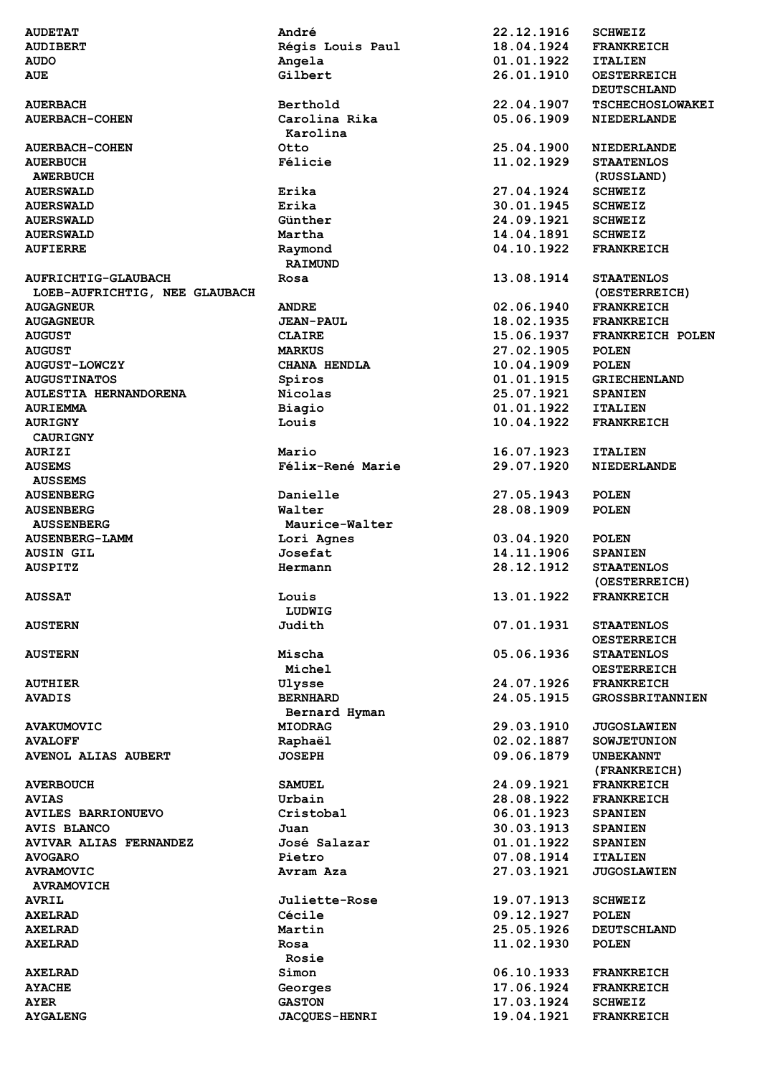| <b>AUDETAT</b>                | André                | 22.12.1916 | <b>SCHWEIZ</b>          |
|-------------------------------|----------------------|------------|-------------------------|
| <b>AUDIBERT</b>               | Régis Louis Paul     | 18.04.1924 | <b>FRANKREICH</b>       |
| <b>AUDO</b>                   | Angela               | 01.01.1922 | <b>ITALIEN</b>          |
| <b>AUE</b>                    | Gilbert              | 26.01.1910 | <b>OESTERREICH</b>      |
|                               |                      |            | <b>DEUTSCHLAND</b>      |
| <b>AUERBACH</b>               | Berthold             | 22.04.1907 | <b>TSCHECHOSLOWAKEI</b> |
| <b>AUERBACH-COHEN</b>         | Carolina Rika        | 05.06.1909 | <b>NIEDERLANDE</b>      |
|                               | Karolina             |            |                         |
| <b>AUERBACH-COHEN</b>         | Otto                 | 25.04.1900 | <b>NIEDERLANDE</b>      |
| <b>AUERBUCH</b>               | Félicie              | 11.02.1929 | <b>STAATENLOS</b>       |
| <b>AWERBUCH</b>               |                      |            | (RUSSLAND)              |
| <b>AUERSWALD</b>              | Erika                | 27.04.1924 | <b>SCHWEIZ</b>          |
| <b>AUERSWALD</b>              | Erika                | 30.01.1945 | <b>SCHWEIZ</b>          |
| <b>AUERSWALD</b>              | Günther              | 24.09.1921 | <b>SCHWEIZ</b>          |
| <b>AUERSWALD</b>              | Martha               | 14.04.1891 | <b>SCHWEIZ</b>          |
| <b>AUFIERRE</b>               | Raymond              | 04.10.1922 | <b>FRANKREICH</b>       |
|                               | <b>RAIMUND</b>       |            |                         |
|                               |                      | 13.08.1914 | <b>STAATENLOS</b>       |
| <b>AUFRICHTIG-GLAUBACH</b>    | Rosa                 |            |                         |
| LOEB-AUFRICHTIG, NEE GLAUBACH |                      |            | (OESTERREICH)           |
| <b>AUGAGNEUR</b>              | <b>ANDRE</b>         | 02.06.1940 | <b>FRANKREICH</b>       |
| <b>AUGAGNEUR</b>              | <b>JEAN-PAUL</b>     | 18.02.1935 | <b>FRANKREICH</b>       |
| <b>AUGUST</b>                 | <b>CLAIRE</b>        | 15.06.1937 | FRANKREICH POLEN        |
| <b>AUGUST</b>                 | <b>MARKUS</b>        | 27.02.1905 | <b>POLEN</b>            |
| <b>AUGUST-LOWCZY</b>          | CHANA HENDLA         | 10.04.1909 | <b>POLEN</b>            |
| <b>AUGUSTINATOS</b>           | Spiros               | 01.01.1915 | <b>GRIECHENLAND</b>     |
| AULESTIA HERNANDORENA         | Nicolas              | 25.07.1921 | <b>SPANIEN</b>          |
| <b>AURIEMMA</b>               | Biagio               | 01.01.1922 | <b>ITALIEN</b>          |
| <b>AURIGNY</b>                | Louis                | 10.04.1922 | <b>FRANKREICH</b>       |
| <b>CAURIGNY</b>               |                      |            |                         |
| <b>AURIZI</b>                 | Mario                | 16.07.1923 | <b>ITALIEN</b>          |
| <b>AUSEMS</b>                 | Félix-René Marie     | 29.07.1920 | <b>NIEDERLANDE</b>      |
| <b>AUSSEMS</b>                |                      |            |                         |
| <b>AUSENBERG</b>              | Danielle             | 27.05.1943 | <b>POLEN</b>            |
| <b>AUSENBERG</b>              | Walter               | 28.08.1909 | <b>POLEN</b>            |
| <b>AUSSENBERG</b>             | Maurice-Walter       |            |                         |
| <b>AUSENBERG-LAMM</b>         | Lori Agnes           | 03.04.1920 | <b>POLEN</b>            |
| <b>AUSIN GIL</b>              | Josefat              | 14.11.1906 | <b>SPANIEN</b>          |
| <b>AUSPITZ</b>                | Hermann              | 28.12.1912 | <b>STAATENLOS</b>       |
|                               |                      |            | (OESTERREICH)           |
| <b>AUSSAT</b>                 |                      | 13.01.1922 | <b>FRANKREICH</b>       |
|                               | Louis                |            |                         |
|                               | LUDWIG               |            |                         |
| <b>AUSTERN</b>                | Judith               | 07.01.1931 | <b>STAATENLOS</b>       |
|                               |                      |            | <b>OESTERREICH</b>      |
| <b>AUSTERN</b>                | Mischa               | 05.06.1936 | <b>STAATENLOS</b>       |
|                               | Michel               |            | <b>OESTERREICH</b>      |
| <b>AUTHIER</b>                | Ulysse               | 24.07.1926 | <b>FRANKREICH</b>       |
| <b>AVADIS</b>                 | <b>BERNHARD</b>      | 24.05.1915 | <b>GROSSBRITANNIEN</b>  |
|                               | Bernard Hyman        |            |                         |
| <b>AVAKUMOVIC</b>             | <b>MIODRAG</b>       | 29.03.1910 | <b>JUGOSLAWIEN</b>      |
| <b>AVALOFF</b>                | Raphaël              | 02.02.1887 | <b>SOWJETUNION</b>      |
| <b>AVENOL ALIAS AUBERT</b>    | <b>JOSEPH</b>        | 09.06.1879 | <b>UNBEKANNT</b>        |
|                               |                      |            | (FRANKREICH)            |
| <b>AVERBOUCH</b>              | <b>SAMUEL</b>        | 24.09.1921 | <b>FRANKREICH</b>       |
| <b>AVIAS</b>                  | Urbain               | 28.08.1922 | <b>FRANKREICH</b>       |
| AVILES BARRIONUEVO            | Cristobal            | 06.01.1923 | <b>SPANIEN</b>          |
| <b>AVIS BLANCO</b>            | Juan                 | 30.03.1913 | <b>SPANIEN</b>          |
| <b>AVIVAR ALIAS FERNANDEZ</b> | José Salazar         | 01.01.1922 | <b>SPANIEN</b>          |
| <b>AVOGARO</b>                | Pietro               | 07.08.1914 | <b>ITALIEN</b>          |
| <b>AVRAMOVIC</b>              | Avram Aza            | 27.03.1921 | <b>JUGOSLAWIEN</b>      |
| <b>AVRAMOVICH</b>             |                      |            |                         |
| <b>AVRIL</b>                  | Juliette-Rose        | 19.07.1913 | <b>SCHWEIZ</b>          |
| <b>AXELRAD</b>                | Cécile               | 09.12.1927 | <b>POLEN</b>            |
|                               | Martin               | 25.05.1926 |                         |
| <b>AXELRAD</b>                | Rosa                 |            | <b>DEUTSCHLAND</b>      |
| <b>AXELRAD</b>                |                      | 11.02.1930 | <b>POLEN</b>            |
|                               | Rosie                |            |                         |
| <b>AXELRAD</b>                | Simon                | 06.10.1933 | <b>FRANKREICH</b>       |
| <b>AYACHE</b>                 | Georges              | 17.06.1924 | <b>FRANKREICH</b>       |
| <b>AYER</b>                   | <b>GASTON</b>        | 17.03.1924 | <b>SCHWEIZ</b>          |
| <b>AYGALENG</b>               | <b>JACQUES-HENRI</b> | 19.04.1921 | <b>FRANKREICH</b>       |